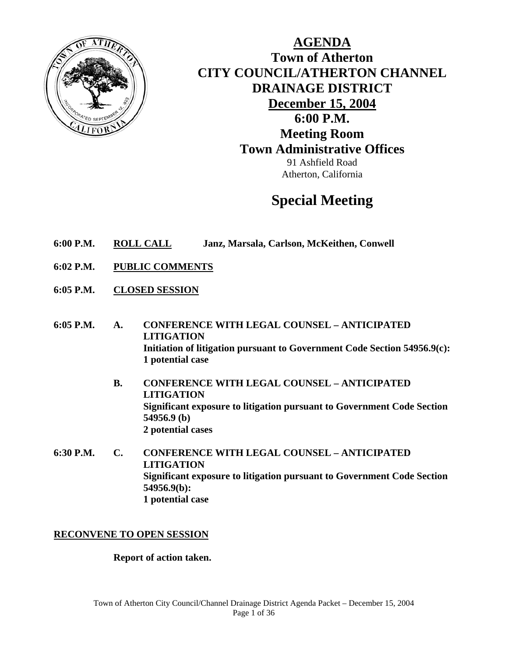

**AGENDA Town of Atherton CITY COUNCIL/ATHERTON CHANNEL DRAINAGE DISTRICT December 15, 2004 6:00 P.M. Meeting Room Town Administrative Offices**  91 Ashfield Road Atherton, California

# **Special Meeting**

- **6:00 P.M. ROLL CALL Janz, Marsala, Carlson, McKeithen, Conwell**
- **6:02 P.M. PUBLIC COMMENTS**
- **6:05 P.M. CLOSED SESSION**
- **6:05 P.M. A. CONFERENCE WITH LEGAL COUNSEL ANTICIPATED LITIGATION Initiation of litigation pursuant to Government Code Section 54956.9(c): 1 potential case** 
	- **B. CONFERENCE WITH LEGAL COUNSEL ANTICIPATED LITIGATION Significant exposure to litigation pursuant to Government Code Section 54956.9 (b) 2 potential cases**
- **6:30 P.M. C. CONFERENCE WITH LEGAL COUNSEL ANTICIPATED LITIGATION Significant exposure to litigation pursuant to Government Code Section 54956.9(b): 1 potential case**

# **RECONVENE TO OPEN SESSION**

#### **Report of action taken.**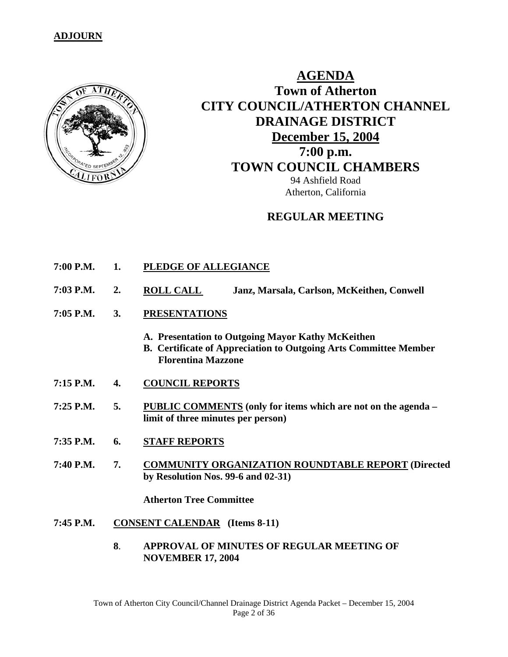# **ADJOURN**



# **AGENDA Town of Atherton CITY COUNCIL/ATHERTON CHANNEL DRAINAGE DISTRICT December 15, 2004 7:00 p.m. TOWN COUNCIL CHAMBERS** 94 Ashfield Road Atherton, California

# **REGULAR MEETING**

- **7:00 P.M. 1. PLEDGE OF ALLEGIANCE**
- **7:03 P.M. 2. ROLL CALL Janz, Marsala, Carlson, McKeithen, Conwell**
- **7:05 P.M. 3. PRESENTATIONS**
	- **A. Presentation to Outgoing Mayor Kathy McKeithen**
	- **B. Certificate of Appreciation to Outgoing Arts Committee Member Florentina Mazzone**
- **7:15 P.M. 4. COUNCIL REPORTS**
- **7:25 P.M. 5. PUBLIC COMMENTS (only for items which are not on the agenda limit of three minutes per person)**
- **7:35 P.M. 6. STAFF REPORTS**
- **7:40 P.M. 7. COMMUNITY ORGANIZATION ROUNDTABLE REPORT (Directed by Resolution Nos. 99-6 and 02-31)**

 **Atherton Tree Committee** 

- **7:45 P.M. CONSENT CALENDAR (Items 8-11)** 
	- **8**. **APPROVAL OF MINUTES OF REGULAR MEETING OF NOVEMBER 17, 2004**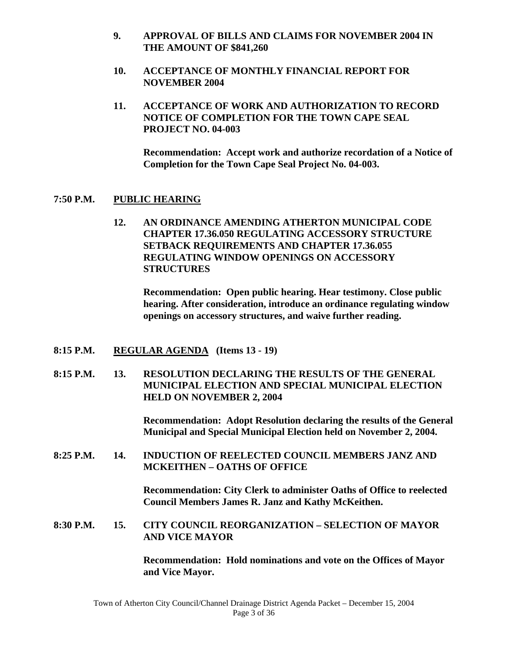- **9. APPROVAL OF BILLS AND CLAIMS FOR NOVEMBER 2004 IN THE AMOUNT OF \$841,260**
- **10. ACCEPTANCE OF MONTHLY FINANCIAL REPORT FOR NOVEMBER 2004**
- **11. ACCEPTANCE OF WORK AND AUTHORIZATION TO RECORD NOTICE OF COMPLETION FOR THE TOWN CAPE SEAL PROJECT NO. 04-003**

**Recommendation: Accept work and authorize recordation of a Notice of Completion for the Town Cape Seal Project No. 04-003.** 

# **7:50 P.M. PUBLIC HEARING**

**12. AN ORDINANCE AMENDING ATHERTON MUNICIPAL CODE CHAPTER 17.36.050 REGULATING ACCESSORY STRUCTURE SETBACK REQUIREMENTS AND CHAPTER 17.36.055 REGULATING WINDOW OPENINGS ON ACCESSORY STRUCTURES** 

**Recommendation: Open public hearing. Hear testimony. Close public hearing. After consideration, introduce an ordinance regulating window openings on accessory structures, and waive further reading.** 

# **8:15 P.M. REGULAR AGENDA (Items 13 - 19)**

**8:15 P.M. 13. RESOLUTION DECLARING THE RESULTS OF THE GENERAL MUNICIPAL ELECTION AND SPECIAL MUNICIPAL ELECTION HELD ON NOVEMBER 2, 2004** 

> **Recommendation: Adopt Resolution declaring the results of the General Municipal and Special Municipal Election held on November 2, 2004.**

**8:25 P.M. 14. INDUCTION OF REELECTED COUNCIL MEMBERS JANZ AND MCKEITHEN – OATHS OF OFFICE** 

> **Recommendation: City Clerk to administer Oaths of Office to reelected Council Members James R. Janz and Kathy McKeithen.**

**8:30 P.M. 15. CITY COUNCIL REORGANIZATION – SELECTION OF MAYOR AND VICE MAYOR** 

> **Recommendation: Hold nominations and vote on the Offices of Mayor and Vice Mayor.**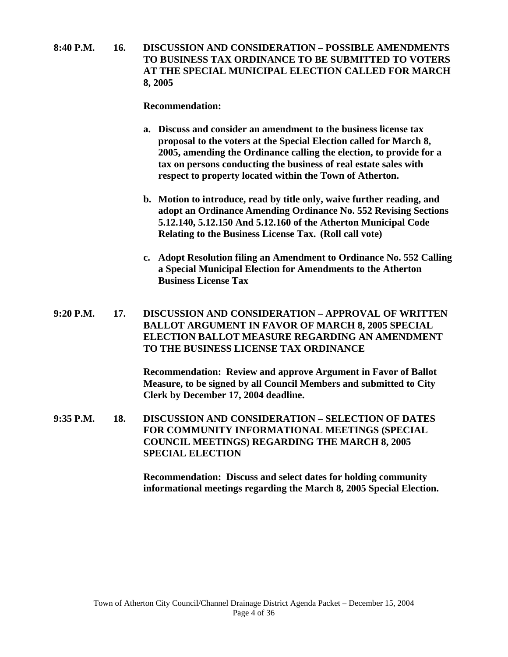**8:40 P.M. 16. DISCUSSION AND CONSIDERATION – POSSIBLE AMENDMENTS TO BUSINESS TAX ORDINANCE TO BE SUBMITTED TO VOTERS AT THE SPECIAL MUNICIPAL ELECTION CALLED FOR MARCH 8, 2005** 

#### **Recommendation:**

- **a. Discuss and consider an amendment to the business license tax proposal to the voters at the Special Election called for March 8, 2005, amending the Ordinance calling the election, to provide for a tax on persons conducting the business of real estate sales with respect to property located within the Town of Atherton.**
- **b. Motion to introduce, read by title only, waive further reading, and adopt an Ordinance Amending Ordinance No. 552 Revising Sections 5.12.140, 5.12.150 And 5.12.160 of the Atherton Municipal Code Relating to the Business License Tax. (Roll call vote)**
- **c. Adopt Resolution filing an Amendment to Ordinance No. 552 Calling a Special Municipal Election for Amendments to the Atherton Business License Tax**

**9:20 P.M. 17. DISCUSSION AND CONSIDERATION – APPROVAL OF WRITTEN BALLOT ARGUMENT IN FAVOR OF MARCH 8, 2005 SPECIAL ELECTION BALLOT MEASURE REGARDING AN AMENDMENT TO THE BUSINESS LICENSE TAX ORDINANCE** 

> **Recommendation: Review and approve Argument in Favor of Ballot Measure, to be signed by all Council Members and submitted to City Clerk by December 17, 2004 deadline.**

**9:35 P.M. 18. DISCUSSION AND CONSIDERATION – SELECTION OF DATES FOR COMMUNITY INFORMATIONAL MEETINGS (SPECIAL COUNCIL MEETINGS) REGARDING THE MARCH 8, 2005 SPECIAL ELECTION** 

> **Recommendation: Discuss and select dates for holding community informational meetings regarding the March 8, 2005 Special Election.**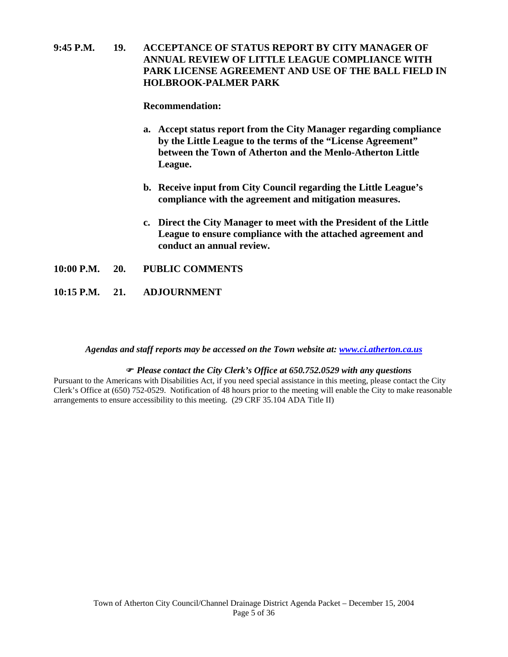# **9:45 P.M. 19. ACCEPTANCE OF STATUS REPORT BY CITY MANAGER OF ANNUAL REVIEW OF LITTLE LEAGUE COMPLIANCE WITH PARK LICENSE AGREEMENT AND USE OF THE BALL FIELD IN HOLBROOK-PALMER PARK**

#### **Recommendation:**

- **a. Accept status report from the City Manager regarding compliance by the Little League to the terms of the "License Agreement" between the Town of Atherton and the Menlo-Atherton Little League.**
- **b. Receive input from City Council regarding the Little League's compliance with the agreement and mitigation measures.**
- **c. Direct the City Manager to meet with the President of the Little League to ensure compliance with the attached agreement and conduct an annual review.**
- **10:00 P.M. 20. PUBLIC COMMENTS**
- **10:15 P.M. 21. ADJOURNMENT**

#### *Agendas and staff reports may be accessed on the Town website at: [www.ci.atherton.ca.us](http://www.ci.atherton.ca.us/)*

#### ) *Please contact the City Clerk's Office at 650.752.0529 with any questions*

Pursuant to the Americans with Disabilities Act, if you need special assistance in this meeting, please contact the City Clerk's Office at (650) 752-0529. Notification of 48 hours prior to the meeting will enable the City to make reasonable arrangements to ensure accessibility to this meeting. (29 CRF 35.104 ADA Title II)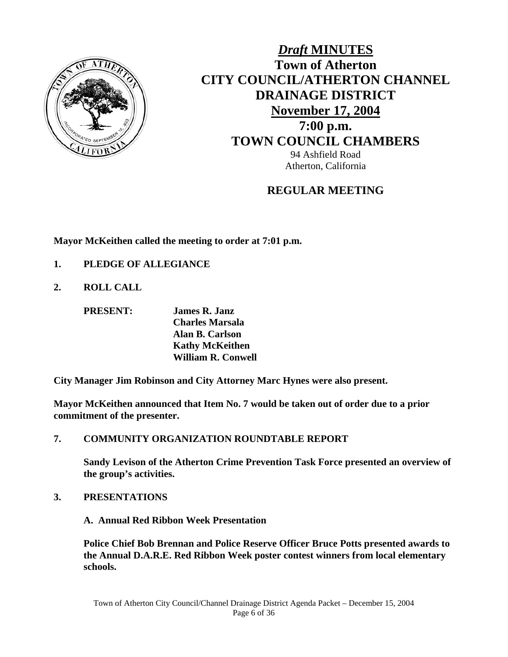

# *Draft* **MINUTES Town of Atherton CITY COUNCIL/ATHERTON CHANNEL DRAINAGE DISTRICT November 17, 2004 7:00 p.m. TOWN COUNCIL CHAMBERS** 94 Ashfield Road

Atherton, California

# **REGULAR MEETING**

**Mayor McKeithen called the meeting to order at 7:01 p.m.** 

- **1. PLEDGE OF ALLEGIANCE**
- **2. ROLL CALL**

 **PRESENT: James R. Janz Charles Marsala Alan B. Carlson**

 **Kathy McKeithen William R. Conwell** 

**City Manager Jim Robinson and City Attorney Marc Hynes were also present.** 

**Mayor McKeithen announced that Item No. 7 would be taken out of order due to a prior commitment of the presenter.** 

**7. COMMUNITY ORGANIZATION ROUNDTABLE REPORT** 

**Sandy Levison of the Atherton Crime Prevention Task Force presented an overview of the group's activities.** 

**3. PRESENTATIONS**

**A. Annual Red Ribbon Week Presentation** 

**Police Chief Bob Brennan and Police Reserve Officer Bruce Potts presented awards to the Annual D.A.R.E. Red Ribbon Week poster contest winners from local elementary schools.**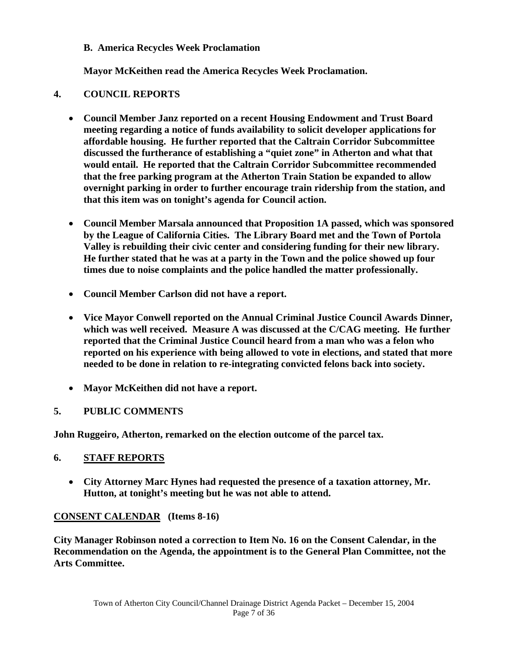# **B. America Recycles Week Proclamation**

 **Mayor McKeithen read the America Recycles Week Proclamation.** 

# **4. COUNCIL REPORTS**

- **Council Member Janz reported on a recent Housing Endowment and Trust Board meeting regarding a notice of funds availability to solicit developer applications for affordable housing. He further reported that the Caltrain Corridor Subcommittee discussed the furtherance of establishing a "quiet zone" in Atherton and what that would entail. He reported that the Caltrain Corridor Subcommittee recommended that the free parking program at the Atherton Train Station be expanded to allow overnight parking in order to further encourage train ridership from the station, and that this item was on tonight's agenda for Council action.**
- **Council Member Marsala announced that Proposition 1A passed, which was sponsored by the League of California Cities. The Library Board met and the Town of Portola Valley is rebuilding their civic center and considering funding for their new library. He further stated that he was at a party in the Town and the police showed up four times due to noise complaints and the police handled the matter professionally.**
- **Council Member Carlson did not have a report.**
- **Vice Mayor Conwell reported on the Annual Criminal Justice Council Awards Dinner, which was well received. Measure A was discussed at the C/CAG meeting. He further reported that the Criminal Justice Council heard from a man who was a felon who reported on his experience with being allowed to vote in elections, and stated that more needed to be done in relation to re-integrating convicted felons back into society.**
- **Mayor McKeithen did not have a report.**

# **5. PUBLIC COMMENTS**

**John Ruggeiro, Atherton, remarked on the election outcome of the parcel tax.** 

# **6. STAFF REPORTS**

• **City Attorney Marc Hynes had requested the presence of a taxation attorney, Mr. Hutton, at tonight's meeting but he was not able to attend.** 

# **CONSENT CALENDAR (Items 8-16)**

**City Manager Robinson noted a correction to Item No. 16 on the Consent Calendar, in the Recommendation on the Agenda, the appointment is to the General Plan Committee, not the Arts Committee.**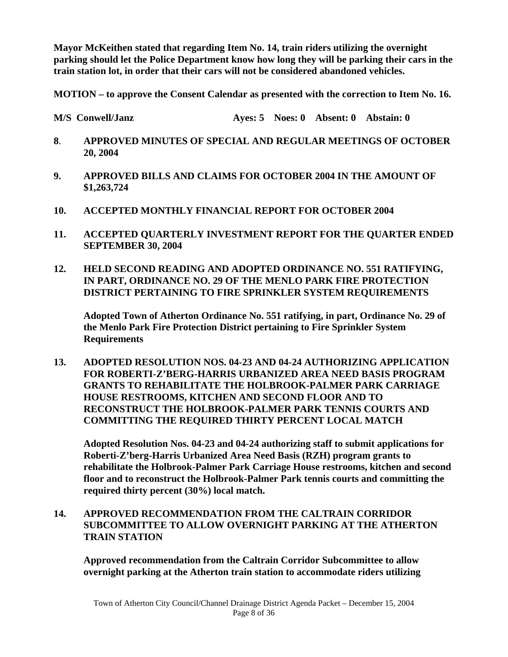**Mayor McKeithen stated that regarding Item No. 14, train riders utilizing the overnight parking should let the Police Department know how long they will be parking their cars in the train station lot, in order that their cars will not be considered abandoned vehicles.** 

**MOTION – to approve the Consent Calendar as presented with the correction to Item No. 16.** 

**M/S Conwell/Janz Ayes: 5 Noes: 0 Absent: 0 Abstain: 0** 

- **8**. **APPROVED MINUTES OF SPECIAL AND REGULAR MEETINGS OF OCTOBER 20, 2004**
- **9. APPROVED BILLS AND CLAIMS FOR OCTOBER 2004 IN THE AMOUNT OF \$1,263,724**
- **10. ACCEPTED MONTHLY FINANCIAL REPORT FOR OCTOBER 2004**
- **11. ACCEPTED QUARTERLY INVESTMENT REPORT FOR THE QUARTER ENDED SEPTEMBER 30, 2004**
- **12. HELD SECOND READING AND ADOPTED ORDINANCE NO. 551 RATIFYING, IN PART, ORDINANCE NO. 29 OF THE MENLO PARK FIRE PROTECTION DISTRICT PERTAINING TO FIRE SPRINKLER SYSTEM REQUIREMENTS**

 **Adopted Town of Atherton Ordinance No. 551 ratifying, in part, Ordinance No. 29 of the Menlo Park Fire Protection District pertaining to Fire Sprinkler System Requirements** 

**13. ADOPTED RESOLUTION NOS. 04-23 AND 04-24 AUTHORIZING APPLICATION FOR ROBERTI-Z'BERG-HARRIS URBANIZED AREA NEED BASIS PROGRAM GRANTS TO REHABILITATE THE HOLBROOK-PALMER PARK CARRIAGE HOUSE RESTROOMS, KITCHEN AND SECOND FLOOR AND TO RECONSTRUCT THE HOLBROOK-PALMER PARK TENNIS COURTS AND COMMITTING THE REQUIRED THIRTY PERCENT LOCAL MATCH** 

**Adopted Resolution Nos. 04-23 and 04-24 authorizing staff to submit applications for Roberti-Z'berg-Harris Urbanized Area Need Basis (RZH) program grants to rehabilitate the Holbrook-Palmer Park Carriage House restrooms, kitchen and second floor and to reconstruct the Holbrook-Palmer Park tennis courts and committing the required thirty percent (30%) local match.** 

**14. APPROVED RECOMMENDATION FROM THE CALTRAIN CORRIDOR SUBCOMMITTEE TO ALLOW OVERNIGHT PARKING AT THE ATHERTON TRAIN STATION** 

**Approved recommendation from the Caltrain Corridor Subcommittee to allow overnight parking at the Atherton train station to accommodate riders utilizing**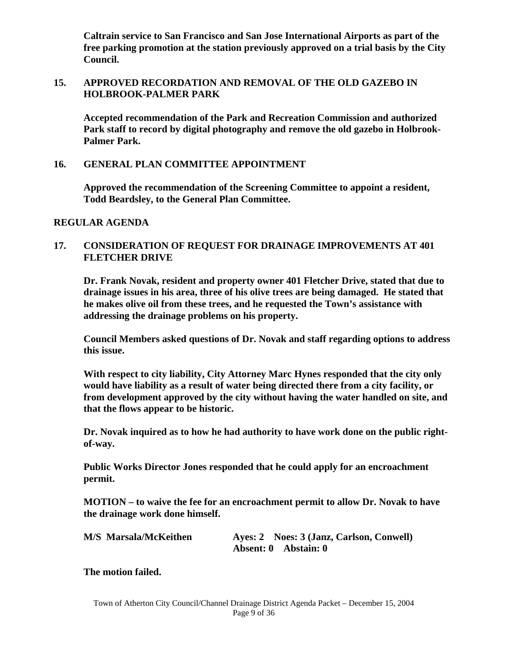**Caltrain service to San Francisco and San Jose International Airports as part of the free parking promotion at the station previously approved on a trial basis by the City Council.** 

# **15. APPROVED RECORDATION AND REMOVAL OF THE OLD GAZEBO IN HOLBROOK-PALMER PARK**

**Accepted recommendation of the Park and Recreation Commission and authorized Park staff to record by digital photography and remove the old gazebo in Holbrook-Palmer Park.** 

#### **16. GENERAL PLAN COMMITTEE APPOINTMENT**

**Approved the recommendation of the Screening Committee to appoint a resident, Todd Beardsley, to the General Plan Committee.** 

#### **REGULAR AGENDA**

# **17. CONSIDERATION OF REQUEST FOR DRAINAGE IMPROVEMENTS AT 401 FLETCHER DRIVE**

**Dr. Frank Novak, resident and property owner 401 Fletcher Drive, stated that due to drainage issues in his area, three of his olive trees are being damaged. He stated that he makes olive oil from these trees, and he requested the Town's assistance with addressing the drainage problems on his property.** 

**Council Members asked questions of Dr. Novak and staff regarding options to address this issue.** 

**With respect to city liability, City Attorney Marc Hynes responded that the city only would have liability as a result of water being directed there from a city facility, or from development approved by the city without having the water handled on site, and that the flows appear to be historic.** 

**Dr. Novak inquired as to how he had authority to have work done on the public rightof-way.** 

**Public Works Director Jones responded that he could apply for an encroachment permit.** 

**MOTION – to waive the fee for an encroachment permit to allow Dr. Novak to have the drainage work done himself.** 

| <b>M/S Marsala/McKeithen</b> |                      | Ayes: 2 Noes: 3 (Janz, Carlson, Conwell) |
|------------------------------|----------------------|------------------------------------------|
|                              | Absent: 0 Abstain: 0 |                                          |

**The motion failed.**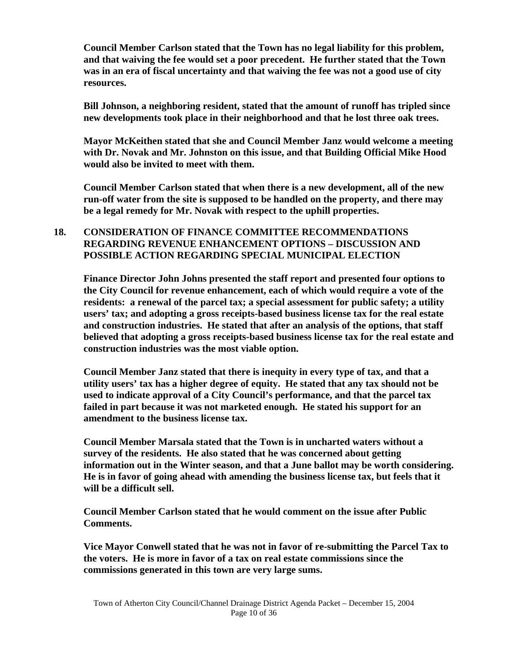**Council Member Carlson stated that the Town has no legal liability for this problem, and that waiving the fee would set a poor precedent. He further stated that the Town was in an era of fiscal uncertainty and that waiving the fee was not a good use of city resources.** 

**Bill Johnson, a neighboring resident, stated that the amount of runoff has tripled since new developments took place in their neighborhood and that he lost three oak trees.** 

**Mayor McKeithen stated that she and Council Member Janz would welcome a meeting with Dr. Novak and Mr. Johnston on this issue, and that Building Official Mike Hood would also be invited to meet with them.** 

**Council Member Carlson stated that when there is a new development, all of the new run-off water from the site is supposed to be handled on the property, and there may be a legal remedy for Mr. Novak with respect to the uphill properties.** 

# **18. CONSIDERATION OF FINANCE COMMITTEE RECOMMENDATIONS REGARDING REVENUE ENHANCEMENT OPTIONS – DISCUSSION AND POSSIBLE ACTION REGARDING SPECIAL MUNICIPAL ELECTION**

**Finance Director John Johns presented the staff report and presented four options to the City Council for revenue enhancement, each of which would require a vote of the residents: a renewal of the parcel tax; a special assessment for public safety; a utility users' tax; and adopting a gross receipts-based business license tax for the real estate and construction industries. He stated that after an analysis of the options, that staff believed that adopting a gross receipts-based business license tax for the real estate and construction industries was the most viable option.** 

**Council Member Janz stated that there is inequity in every type of tax, and that a utility users' tax has a higher degree of equity. He stated that any tax should not be used to indicate approval of a City Council's performance, and that the parcel tax failed in part because it was not marketed enough. He stated his support for an amendment to the business license tax.** 

**Council Member Marsala stated that the Town is in uncharted waters without a survey of the residents. He also stated that he was concerned about getting information out in the Winter season, and that a June ballot may be worth considering. He is in favor of going ahead with amending the business license tax, but feels that it will be a difficult sell.** 

**Council Member Carlson stated that he would comment on the issue after Public Comments.** 

**Vice Mayor Conwell stated that he was not in favor of re-submitting the Parcel Tax to the voters. He is more in favor of a tax on real estate commissions since the commissions generated in this town are very large sums.**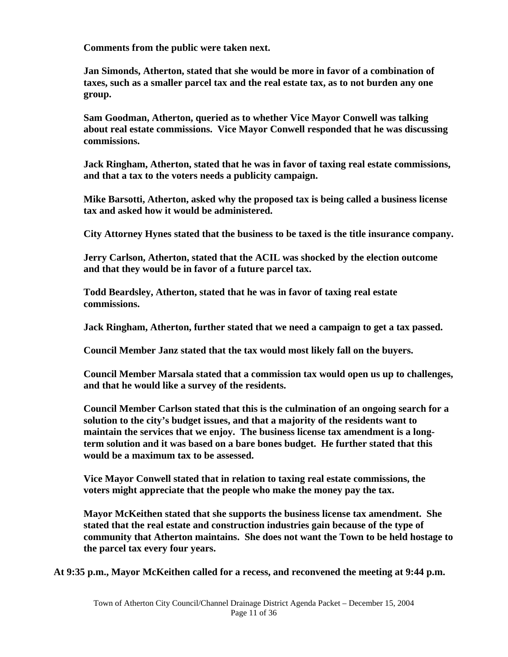**Comments from the public were taken next.** 

**Jan Simonds, Atherton, stated that she would be more in favor of a combination of taxes, such as a smaller parcel tax and the real estate tax, as to not burden any one group.** 

**Sam Goodman, Atherton, queried as to whether Vice Mayor Conwell was talking about real estate commissions. Vice Mayor Conwell responded that he was discussing commissions.** 

**Jack Ringham, Atherton, stated that he was in favor of taxing real estate commissions, and that a tax to the voters needs a publicity campaign.** 

**Mike Barsotti, Atherton, asked why the proposed tax is being called a business license tax and asked how it would be administered.** 

**City Attorney Hynes stated that the business to be taxed is the title insurance company.** 

**Jerry Carlson, Atherton, stated that the ACIL was shocked by the election outcome and that they would be in favor of a future parcel tax.** 

**Todd Beardsley, Atherton, stated that he was in favor of taxing real estate commissions.** 

**Jack Ringham, Atherton, further stated that we need a campaign to get a tax passed.** 

**Council Member Janz stated that the tax would most likely fall on the buyers.** 

**Council Member Marsala stated that a commission tax would open us up to challenges, and that he would like a survey of the residents.** 

**Council Member Carlson stated that this is the culmination of an ongoing search for a solution to the city's budget issues, and that a majority of the residents want to maintain the services that we enjoy. The business license tax amendment is a longterm solution and it was based on a bare bones budget. He further stated that this would be a maximum tax to be assessed.** 

**Vice Mayor Conwell stated that in relation to taxing real estate commissions, the voters might appreciate that the people who make the money pay the tax.** 

**Mayor McKeithen stated that she supports the business license tax amendment. She stated that the real estate and construction industries gain because of the type of community that Atherton maintains. She does not want the Town to be held hostage to the parcel tax every four years.** 

**At 9:35 p.m., Mayor McKeithen called for a recess, and reconvened the meeting at 9:44 p.m.**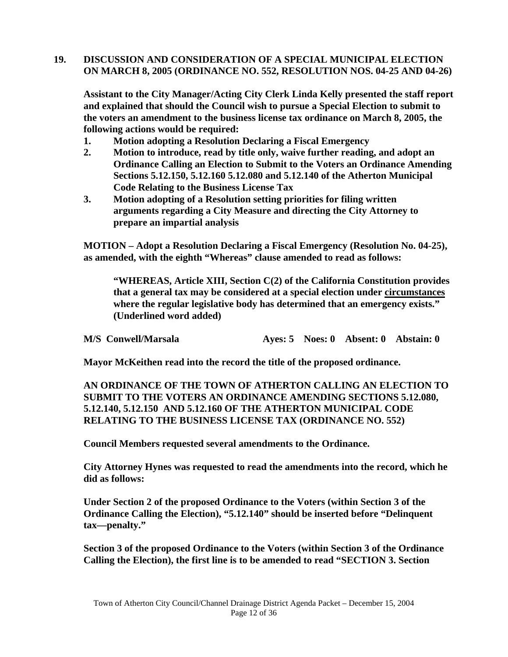# **19. DISCUSSION AND CONSIDERATION OF A SPECIAL MUNICIPAL ELECTION ON MARCH 8, 2005 (ORDINANCE NO. 552, RESOLUTION NOS. 04-25 AND 04-26)**

**Assistant to the City Manager/Acting City Clerk Linda Kelly presented the staff report and explained that should the Council wish to pursue a Special Election to submit to the voters an amendment to the business license tax ordinance on March 8, 2005, the following actions would be required:** 

- **1. Motion adopting a Resolution Declaring a Fiscal Emergency**
- **2. Motion to introduce, read by title only, waive further reading, and adopt an Ordinance Calling an Election to Submit to the Voters an Ordinance Amending Sections 5.12.150, 5.12.160 5.12.080 and 5.12.140 of the Atherton Municipal Code Relating to the Business License Tax**
- **3. Motion adopting of a Resolution setting priorities for filing written arguments regarding a City Measure and directing the City Attorney to prepare an impartial analysis**

**MOTION – Adopt a Resolution Declaring a Fiscal Emergency (Resolution No. 04-25), as amended, with the eighth "Whereas" clause amended to read as follows:** 

**"WHEREAS, Article XIII, Section C(2) of the California Constitution provides that a general tax may be considered at a special election under circumstances where the regular legislative body has determined that an emergency exists." (Underlined word added)** 

**M/S Conwell/Marsala Ayes: 5 Noes: 0 Absent: 0 Abstain: 0** 

**Mayor McKeithen read into the record the title of the proposed ordinance.** 

**AN ORDINANCE OF THE TOWN OF ATHERTON CALLING AN ELECTION TO SUBMIT TO THE VOTERS AN ORDINANCE AMENDING SECTIONS 5.12.080, 5.12.140, 5.12.150 AND 5.12.160 OF THE ATHERTON MUNICIPAL CODE RELATING TO THE BUSINESS LICENSE TAX (ORDINANCE NO. 552)** 

**Council Members requested several amendments to the Ordinance.** 

**City Attorney Hynes was requested to read the amendments into the record, which he did as follows:** 

**Under Section 2 of the proposed Ordinance to the Voters (within Section 3 of the Ordinance Calling the Election), "5.12.140" should be inserted before "Delinquent tax—penalty."** 

**Section 3 of the proposed Ordinance to the Voters (within Section 3 of the Ordinance Calling the Election), the first line is to be amended to read "SECTION 3. Section**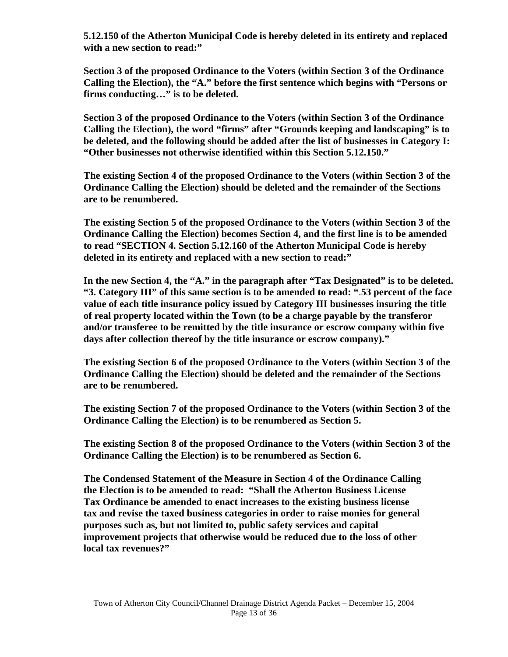**5.12.150 of the Atherton Municipal Code is hereby deleted in its entirety and replaced with a new section to read:"** 

**Section 3 of the proposed Ordinance to the Voters (within Section 3 of the Ordinance Calling the Election), the "A." before the first sentence which begins with "Persons or firms conducting…" is to be deleted.** 

**Section 3 of the proposed Ordinance to the Voters (within Section 3 of the Ordinance Calling the Election), the word "firms" after "Grounds keeping and landscaping" is to be deleted, and the following should be added after the list of businesses in Category I: "Other businesses not otherwise identified within this Section 5.12.150."** 

**The existing Section 4 of the proposed Ordinance to the Voters (within Section 3 of the Ordinance Calling the Election) should be deleted and the remainder of the Sections are to be renumbered.** 

**The existing Section 5 of the proposed Ordinance to the Voters (within Section 3 of the Ordinance Calling the Election) becomes Section 4, and the first line is to be amended to read "SECTION 4. Section 5.12.160 of the Atherton Municipal Code is hereby deleted in its entirety and replaced with a new section to read:"** 

**In the new Section 4, the "A." in the paragraph after "Tax Designated" is to be deleted. "3. Category III" of this same section is to be amended to read: "**.**53 percent of the face value of each title insurance policy issued by Category III businesses insuring the title of real property located within the Town (to be a charge payable by the transferor and/or transferee to be remitted by the title insurance or escrow company within five days after collection thereof by the title insurance or escrow company)."** 

 **The existing Section 6 of the proposed Ordinance to the Voters (within Section 3 of the Ordinance Calling the Election) should be deleted and the remainder of the Sections are to be renumbered.** 

**The existing Section 7 of the proposed Ordinance to the Voters (within Section 3 of the Ordinance Calling the Election) is to be renumbered as Section 5.** 

**The existing Section 8 of the proposed Ordinance to the Voters (within Section 3 of the Ordinance Calling the Election) is to be renumbered as Section 6.**

**The Condensed Statement of the Measure in Section 4 of the Ordinance Calling the Election is to be amended to read: "Shall the Atherton Business License Tax Ordinance be amended to enact increases to the existing business license tax and revise the taxed business categories in order to raise monies for general purposes such as, but not limited to, public safety services and capital improvement projects that otherwise would be reduced due to the loss of other local tax revenues?"**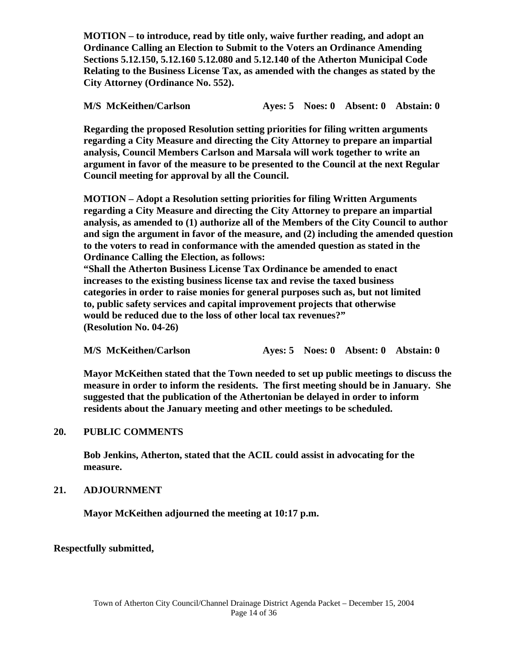**MOTION – to introduce, read by title only, waive further reading, and adopt an Ordinance Calling an Election to Submit to the Voters an Ordinance Amending Sections 5.12.150, 5.12.160 5.12.080 and 5.12.140 of the Atherton Municipal Code Relating to the Business License Tax, as amended with the changes as stated by the City Attorney (Ordinance No. 552).** 

**M/S McKeithen/Carlson Ayes: 5 Noes: 0 Absent: 0 Abstain: 0** 

 **Regarding the proposed Resolution setting priorities for filing written arguments regarding a City Measure and directing the City Attorney to prepare an impartial analysis, Council Members Carlson and Marsala will work together to write an argument in favor of the measure to be presented to the Council at the next Regular Council meeting for approval by all the Council.** 

 **MOTION – Adopt a Resolution setting priorities for filing Written Arguments regarding a City Measure and directing the City Attorney to prepare an impartial analysis, as amended to (1) authorize all of the Members of the City Council to author and sign the argument in favor of the measure, and (2) including the amended question to the voters to read in conformance with the amended question as stated in the Ordinance Calling the Election, as follows: "Shall the Atherton Business License Tax Ordinance be amended to enact increases to the existing business license tax and revise the taxed business categories in order to raise monies for general purposes such as, but not limited to, public safety services and capital improvement projects that otherwise** 

**would be reduced due to the loss of other local tax revenues?" (Resolution No. 04-26)** 

**M/S McKeithen/Carlson Ayes: 5 Noes: 0 Absent: 0 Abstain: 0** 

 **Mayor McKeithen stated that the Town needed to set up public meetings to discuss the measure in order to inform the residents. The first meeting should be in January. She suggested that the publication of the Athertonian be delayed in order to inform residents about the January meeting and other meetings to be scheduled.** 

# **20. PUBLIC COMMENTS**

**Bob Jenkins, Atherton, stated that the ACIL could assist in advocating for the measure.** 

# **21. ADJOURNMENT**

 **Mayor McKeithen adjourned the meeting at 10:17 p.m.** 

# **Respectfully submitted,**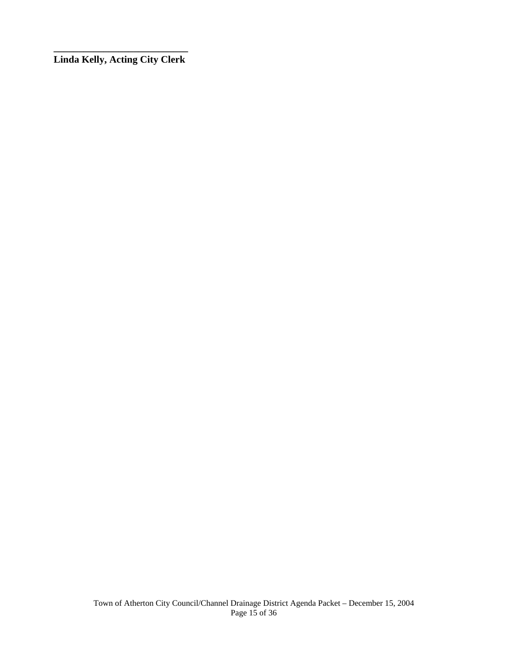**\_\_\_\_\_\_\_\_\_\_\_\_\_\_\_\_\_\_\_\_\_\_\_\_\_\_\_ Linda Kelly, Acting City Clerk**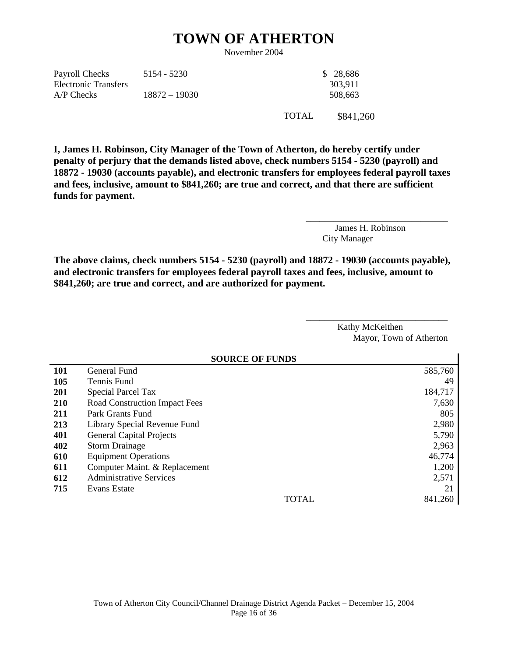# **TOWN OF ATHERTON**

November 2004

| Payroll Checks       | 5154 - 5230     | \$ 28,686 |
|----------------------|-----------------|-----------|
| Electronic Transfers |                 | 303.911   |
| $A/P$ Checks         | $18872 - 19030$ | 508.663   |

TOTAL \$841,260

**I, James H. Robinson, City Manager of the Town of Atherton, do hereby certify under penalty of perjury that the demands listed above, check numbers 5154 - 5230 (payroll) and 18872 - 19030 (accounts payable), and electronic transfers for employees federal payroll taxes and fees, inclusive, amount to \$841,260; are true and correct, and that there are sufficient funds for payment.** 

> James H. Robinson City Manager

\_\_\_\_\_\_\_\_\_\_\_\_\_\_\_\_\_\_\_\_\_\_\_\_\_\_\_\_\_\_\_

**The above claims, check numbers 5154 - 5230 (payroll) and 18872 - 19030 (accounts payable), and electronic transfers for employees federal payroll taxes and fees, inclusive, amount to \$841,260; are true and correct, and are authorized for payment.** 

> Kathy McKeithen Mayor, Town of Atherton

\_\_\_\_\_\_\_\_\_\_\_\_\_\_\_\_\_\_\_\_\_\_\_\_\_\_\_\_\_\_\_

|            | <b>SOURCE OF FUNDS</b>               |         |  |  |
|------------|--------------------------------------|---------|--|--|
| <b>101</b> | General Fund                         | 585,760 |  |  |
| 105        | Tennis Fund                          | 49      |  |  |
| <b>201</b> | <b>Special Parcel Tax</b>            | 184,717 |  |  |
| 210        | <b>Road Construction Impact Fees</b> | 7,630   |  |  |
| 211        | Park Grants Fund                     | 805     |  |  |
| 213        | Library Special Revenue Fund         | 2,980   |  |  |
| 401        | <b>General Capital Projects</b>      | 5,790   |  |  |
| 402        | <b>Storm Drainage</b>                | 2,963   |  |  |
| 610        | <b>Equipment Operations</b>          | 46,774  |  |  |
| 611        | Computer Maint. & Replacement        | 1,200   |  |  |
| 612        | <b>Administrative Services</b>       | 2,571   |  |  |
| 715        | Evans Estate                         | 21      |  |  |
|            | <b>TOTAL</b>                         | 841,260 |  |  |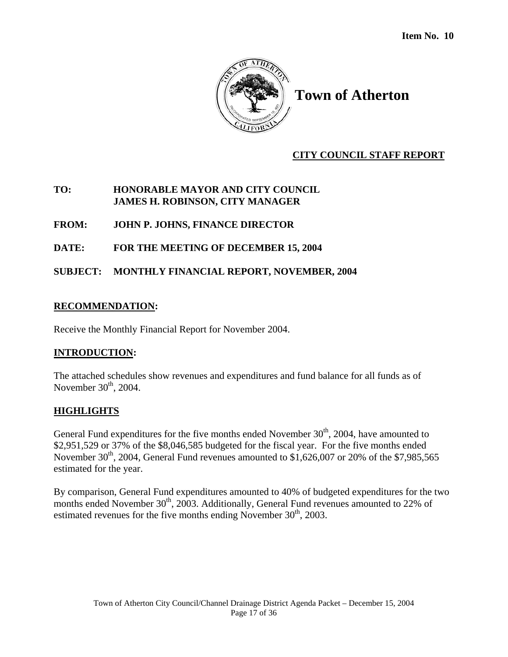

# **CITY COUNCIL STAFF REPORT**

# **TO: HONORABLE MAYOR AND CITY COUNCIL JAMES H. ROBINSON, CITY MANAGER**

# **FROM: JOHN P. JOHNS, FINANCE DIRECTOR**

# **DATE: FOR THE MEETING OF DECEMBER 15, 2004**

# **SUBJECT: MONTHLY FINANCIAL REPORT, NOVEMBER, 2004**

# **RECOMMENDATION:**

Receive the Monthly Financial Report for November 2004.

# **INTRODUCTION:**

The attached schedules show revenues and expenditures and fund balance for all funds as of November  $30<sup>th</sup>$ , 2004.

# **HIGHLIGHTS**

General Fund expenditures for the five months ended November  $30<sup>th</sup>$ , 2004, have amounted to \$2,951,529 or 37% of the \$8,046,585 budgeted for the fiscal year. For the five months ended November 30<sup>th</sup>, 2004, General Fund revenues amounted to \$1,626,007 or 20% of the \$7,985,565 estimated for the year.

By comparison, General Fund expenditures amounted to 40% of budgeted expenditures for the two months ended November 30<sup>th</sup>, 2003. Additionally, General Fund revenues amounted to 22% of estimated revenues for the five months ending November  $30<sup>th</sup>$ , 2003.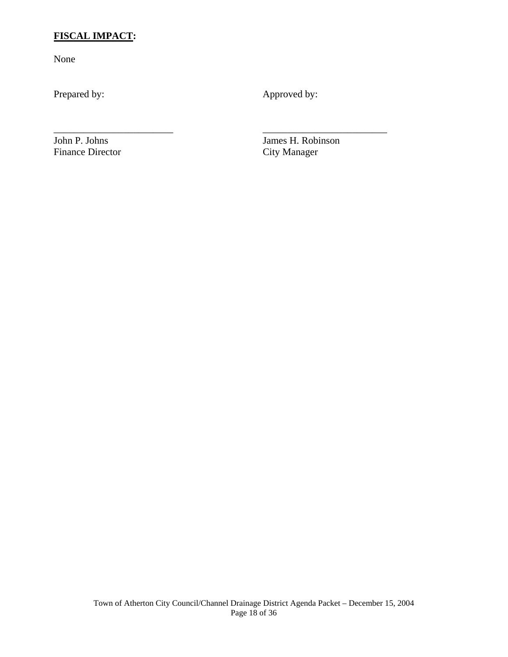# **FISCAL IMPACT:**

None

Prepared by: Approved by:

\_\_\_\_\_\_\_\_\_\_\_\_\_\_\_\_\_\_\_\_\_\_\_\_ \_\_\_\_\_\_\_\_\_\_\_\_\_\_\_\_\_\_\_\_\_\_\_\_\_

Finance Director

John P. Johns James H. Robinson<br>Finance Director City Manager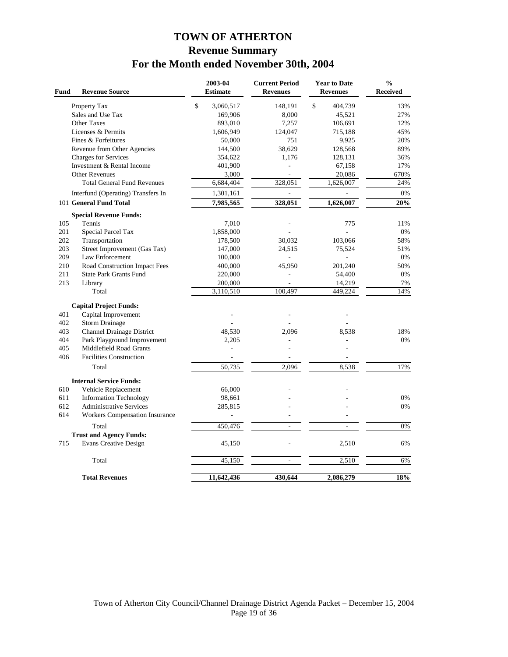# **TOWN OF ATHERTON Revenue Summary For the Month ended November 30th, 2004**

| Fund | <b>Revenue Source</b>                 | 2003-04<br><b>Estimate</b> | <b>Current Period</b><br><b>Revenues</b> | <b>Year to Date</b><br><b>Revenues</b> | $\frac{0}{0}$<br><b>Received</b> |
|------|---------------------------------------|----------------------------|------------------------------------------|----------------------------------------|----------------------------------|
|      | Property Tax                          | \$<br>3,060,517            | 148,191                                  | $\mathbb{S}$<br>404,739                | 13%                              |
|      | Sales and Use Tax                     | 169,906                    | 8,000                                    | 45,521                                 | 27%                              |
|      | Other Taxes                           | 893,010                    | 7,257                                    | 106,691                                | 12%                              |
|      | Licenses & Permits                    | 1,606,949                  | 124,047                                  | 715,188                                | 45%                              |
|      | Fines & Forfeitures                   | 50,000                     | 751                                      | 9,925                                  | 20%                              |
|      | Revenue from Other Agencies           | 144,500                    | 38,629                                   | 128,568                                | 89%                              |
|      | Charges for Services                  | 354,622                    | 1,176                                    | 128,131                                | 36%                              |
|      | Investment & Rental Income            | 401,900                    |                                          | 67,158                                 | 17%                              |
|      | <b>Other Revenues</b>                 | 3,000                      | ä,                                       | 20,086                                 | 670%                             |
|      | <b>Total General Fund Revenues</b>    | 6,684,404                  | 328,051                                  | 1,626,007                              | 24%                              |
|      | Interfund (Operating) Transfers In    | 1,301,161                  | $\blacksquare$                           |                                        | 0%                               |
|      | 101 General Fund Total                | 7,985,565                  | 328,051                                  | 1,626,007                              | 20%                              |
|      | <b>Special Revenue Funds:</b>         |                            |                                          |                                        |                                  |
| 105  | Tennis                                | 7,010                      | ÷,                                       | 775                                    | 11%                              |
| 201  | Special Parcel Tax                    | 1,858,000                  |                                          |                                        | 0%                               |
| 202  | Transportation                        | 178,500                    | 30,032                                   | 103,066                                | 58%                              |
| 203  | Street Improvement (Gas Tax)          | 147,000                    | 24,515                                   | 75,524                                 | 51%                              |
| 209  | Law Enforcement                       | 100,000                    |                                          |                                        | 0%                               |
| 210  | Road Construction Impact Fees         | 400,000                    | 45,950                                   | 201,240                                | 50%                              |
| 211  | <b>State Park Grants Fund</b>         | 220,000                    |                                          | 54,400                                 | 0%                               |
| 213  | Library                               | 200,000                    | ÷,                                       | 14,219                                 | 7%                               |
|      | Total                                 | 3,110,510                  | 100.497                                  | 449,224                                | 14%                              |
|      | <b>Capital Project Funds:</b>         |                            |                                          |                                        |                                  |
| 401  | Capital Improvement                   |                            |                                          |                                        |                                  |
| 402  | <b>Storm Drainage</b>                 |                            |                                          |                                        |                                  |
| 403  | Channel Drainage District             | 48,530                     | 2.096                                    | 8.538                                  | 18%                              |
| 404  | Park Playground Improvement           | 2,205                      |                                          |                                        | 0%                               |
| 405  | Middlefield Road Grants               |                            |                                          |                                        |                                  |
| 406  | <b>Facilities Construction</b>        |                            |                                          |                                        |                                  |
|      | Total                                 | 50,735                     | 2,096                                    | 8,538                                  | 17%                              |
|      | <b>Internal Service Funds:</b>        |                            |                                          |                                        |                                  |
| 610  | Vehicle Replacement                   | 66,000                     |                                          |                                        |                                  |
| 611  | <b>Information Technology</b>         | 98,661                     |                                          |                                        | 0%                               |
| 612  | <b>Administrative Services</b>        | 285,815                    |                                          |                                        | 0%                               |
| 614  | <b>Workers Compensation Insurance</b> |                            |                                          |                                        |                                  |
|      | Total                                 | 450,476                    | ÷.                                       | ÷.                                     | 0%                               |
|      | <b>Trust and Agency Funds:</b>        |                            |                                          |                                        |                                  |
| 715  | <b>Evans Creative Design</b>          | 45,150                     |                                          | 2,510                                  | 6%                               |
|      | Total                                 | 45,150                     | ÷.                                       | 2,510                                  | 6%                               |
|      | <b>Total Revenues</b>                 | 11,642,436                 | 430,644                                  | 2,086,279                              | 18%                              |
|      |                                       |                            |                                          |                                        |                                  |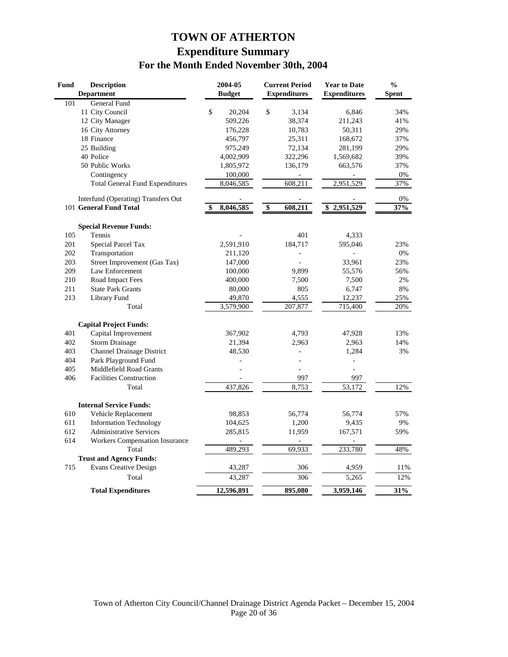# **TOWN OF ATHERTON Expenditure Summary For the Month Ended November 30th, 2004**

| <b>Fund</b> | <b>Description</b>                     | 2004-05       | <b>Current Period</b> | <b>Year to Date</b> | $\frac{0}{0}$ |
|-------------|----------------------------------------|---------------|-----------------------|---------------------|---------------|
|             | <b>Department</b>                      | <b>Budget</b> | <b>Expenditures</b>   | <b>Expenditures</b> | <b>Spent</b>  |
| 101         | General Fund                           |               |                       |                     |               |
|             | 11 City Council                        | \$<br>20,204  | \$<br>3,134           | 6,846               | 34%           |
|             | 12 City Manager                        | 509,226       | 38,374                | 211,243             | 41%           |
|             | 16 City Attorney                       | 176,228       | 10,783                | 50,311              | 29%           |
|             | 18 Finance                             | 456,797       | 25,311                | 168,672             | 37%           |
|             | 25 Building                            | 975,249       | 72,134                | 281,199             | 29%           |
|             | 40 Police                              | 4,002,909     | 322,296               | 1,569,682           | 39%           |
|             | 50 Public Works                        | 1,805,972     | 136,179               | 663,576             | 37%           |
|             | Contingency                            | 100,000       |                       |                     | 0%            |
|             | <b>Total General Fund Expenditures</b> | 8,046,585     | 608,211               | 2,951,529           | 37%           |
|             | Interfund (Operating) Transfers Out    |               |                       |                     | 0%            |
|             | 101 General Fund Total                 | 8,046,585     | \$<br>608,211         | 2,951,529<br>\$     | 37%           |
|             | <b>Special Revenue Funds:</b>          |               |                       |                     |               |
| 105         | Tennis                                 |               | 401                   | 4,333               |               |
| 201         | Special Parcel Tax                     | 2,591,910     | 184,717               | 595,046             | 23%           |
| 202         | Transportation                         | 211,120       |                       |                     | 0%            |
| 203         | Street Improvement (Gas Tax)           | 147,000       |                       | 33,961              | 23%           |
| 209         | Law Enforcement                        | 100,000       | 9,899                 | 55,576              | 56%           |
| 210         | Road Impact Fees                       | 400,000       | 7,500                 | 7,500               | 2%            |
| 211         | <b>State Park Grants</b>               | 80,000        | 805                   | 6,747               | 8%            |
| 213         | Library Fund                           | 49,870        | 4,555                 | 12,237              | 25%           |
|             | Total                                  | 3,579,900     | 207,877               | 715,400             | 20%           |
|             | <b>Capital Project Funds:</b>          |               |                       |                     |               |
| 401         | Capital Improvement                    | 367,902       | 4,793                 | 47,928              | 13%           |
| 402         | <b>Storm Drainage</b>                  | 21,394        | 2,963                 | 2,963               | 14%           |
| 403         | <b>Channel Drainage District</b>       | 48,530        |                       | 1,284               | 3%            |
| 404         | Park Playground Fund                   |               |                       | ÷,                  |               |
| 405         | Middlefield Road Grants                |               | $\overline{a}$        | $\overline{a}$      |               |
| 406         | <b>Facilities Construction</b>         |               | 997                   | 997                 |               |
|             | Total                                  | 437,826       | 8,753                 | 53,172              | 12%           |
|             | <b>Internal Service Funds:</b>         |               |                       |                     |               |
| 610         | Vehicle Replacement                    | 98,853        | 56,774                | 56,774              | 57%           |
| 611         | <b>Information Technology</b>          | 104,625       | 1,200                 | 9,435               | 9%            |
| 612         | <b>Administrative Services</b>         | 285,815       | 11,959                | 167,571             | 59%           |
| 614         | <b>Workers Compensation Insurance</b>  |               |                       |                     |               |
|             | Total                                  | 489,293       | 69,933                | 233,780             | 48%           |
|             | <b>Trust and Agency Funds:</b>         |               |                       |                     |               |
| 715         | <b>Evans Creative Design</b>           | 43,287        | 306                   | 4,959               | 11%           |
|             | Total                                  | 43,287        | 306                   | 5,265               | 12%           |
|             | <b>Total Expenditures</b>              | 12,596,891    | 895,080               | 3,959,146           | 31%           |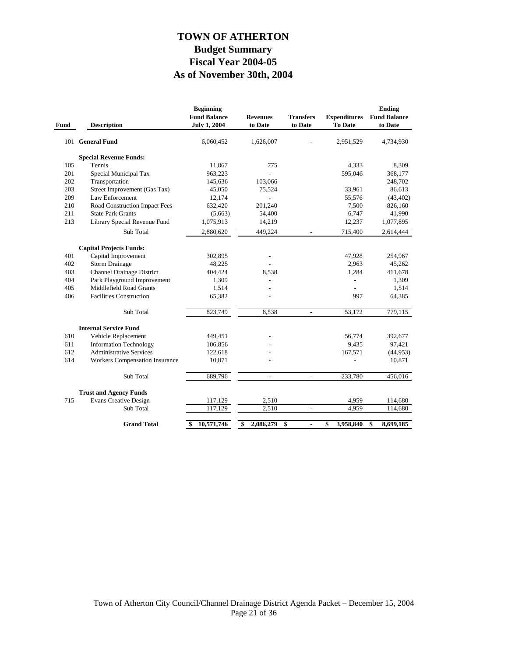# **As of November 30th, 2004 Fiscal Year 2004-05 Budget Summary TOWN OF ATHERTON**

| Fund | <b>Description</b>                           | <b>Beginning</b><br><b>Fund Balance</b><br><b>July 1, 2004</b> | <b>Revenues</b><br>to Date | <b>Transfers</b><br>to Date | <b>Expenditures</b><br>To Date | <b>Ending</b><br><b>Fund Balance</b><br>to Date |
|------|----------------------------------------------|----------------------------------------------------------------|----------------------------|-----------------------------|--------------------------------|-------------------------------------------------|
|      | 101 General Fund                             | 6,060,452                                                      | 1,626,007                  |                             | 2,951,529                      | 4,734,930                                       |
|      | <b>Special Revenue Funds:</b>                |                                                                |                            |                             |                                |                                                 |
| 105  | Tennis                                       | 11,867                                                         | 775                        |                             | 4,333                          | 8,309                                           |
| 201  | Special Municipal Tax                        | 963,223                                                        |                            |                             | 595,046                        | 368,177                                         |
| 202  | Transportation                               | 145,636                                                        | 103,066                    |                             |                                | 248,702                                         |
| 203  | Street Improvement (Gas Tax)                 | 45,050                                                         | 75,524                     |                             | 33,961                         | 86,613                                          |
| 209  | Law Enforcement                              | 12,174                                                         |                            |                             | 55,576                         | (43, 402)                                       |
| 210  | Road Construction Impact Fees                | 632,420                                                        | 201,240                    |                             | 7,500                          | 826,160                                         |
| 211  | <b>State Park Grants</b>                     | (5,663)                                                        | 54,400                     |                             | 6,747                          | 41,990                                          |
| 213  | Library Special Revenue Fund                 | 1,075,913                                                      | 14,219                     |                             | 12,237                         | 1,077,895                                       |
|      | Sub Total                                    | 2,880,620                                                      | 449,224                    | $\overline{\phantom{a}}$    | 715,400                        | 2,614,444                                       |
|      |                                              |                                                                |                            |                             |                                |                                                 |
| 401  | <b>Capital Projects Funds:</b>               | 302,895                                                        |                            |                             | 47,928                         |                                                 |
| 402  | Capital Improvement<br><b>Storm Drainage</b> | 48,225                                                         |                            |                             | 2,963                          | 254,967<br>45,262                               |
| 403  | <b>Channel Drainage District</b>             | 404,424                                                        | 8,538                      |                             | 1,284                          | 411,678                                         |
| 404  | Park Playground Improvement                  | 1,309                                                          |                            |                             | $\overline{a}$                 | 1,309                                           |
| 405  | <b>Middlefield Road Grants</b>               | 1,514                                                          |                            |                             |                                | 1,514                                           |
| 406  | <b>Facilities Construction</b>               |                                                                |                            |                             | 997                            |                                                 |
|      |                                              | 65,382                                                         |                            |                             |                                | 64,385                                          |
|      | Sub Total                                    | 823,749                                                        | 8,538                      | $\frac{1}{2}$               | 53,172                         | 779,115                                         |
|      | <b>Internal Service Fund</b>                 |                                                                |                            |                             |                                |                                                 |
| 610  | Vehicle Replacement                          | 449,451                                                        |                            |                             | 56,774                         | 392,677                                         |
| 611  | <b>Information Technology</b>                | 106,856                                                        |                            |                             | 9,435                          | 97,421                                          |
| 612  | <b>Administrative Services</b>               | 122,618                                                        |                            |                             | 167,571                        | (44, 953)                                       |
| 614  | <b>Workers Compensation Insurance</b>        | 10,871                                                         |                            |                             |                                | 10,871                                          |
|      | Sub Total                                    | 689,796                                                        | $\overline{\phantom{a}}$   | $\overline{\phantom{a}}$    | 233,780                        | 456,016                                         |
|      | <b>Trust and Agency Funds</b>                |                                                                |                            |                             |                                |                                                 |
| 715  | <b>Evans Creative Design</b>                 | 117,129                                                        | 2,510                      |                             | 4,959                          | 114,680                                         |
|      | Sub Total                                    | 117,129                                                        | 2,510                      | $\frac{1}{2}$               | 4,959                          | 114,680                                         |
|      | <b>Grand Total</b>                           | 10,571,746<br>-\$                                              | 2,086,279<br>\$            | \$<br>٠                     | \$<br>3,958,840                | 8,699,185<br>\$                                 |
|      |                                              |                                                                |                            |                             |                                |                                                 |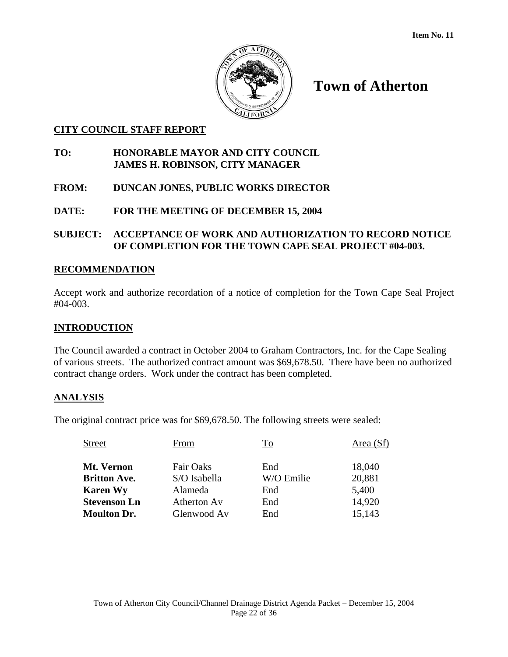

# **CITY COUNCIL STAFF REPORT**

# **TO: HONORABLE MAYOR AND CITY COUNCIL JAMES H. ROBINSON, CITY MANAGER**

- **FROM: DUNCAN JONES, PUBLIC WORKS DIRECTOR**
- **DATE: FOR THE MEETING OF DECEMBER 15, 2004**

# **SUBJECT: ACCEPTANCE OF WORK AND AUTHORIZATION TO RECORD NOTICE OF COMPLETION FOR THE TOWN CAPE SEAL PROJECT #04-003.**

# **RECOMMENDATION**

Accept work and authorize recordation of a notice of completion for the Town Cape Seal Project #04-003.

# **INTRODUCTION**

The Council awarded a contract in October 2004 to Graham Contractors, Inc. for the Cape Sealing of various streets. The authorized contract amount was \$69,678.50. There have been no authorized contract change orders. Work under the contract has been completed.

# **ANALYSIS**

The original contract price was for \$69,678.50. The following streets were sealed:

| <b>Street</b>       | From         | To         | Area (Sf) |
|---------------------|--------------|------------|-----------|
| Mt. Vernon          | Fair Oaks    | End        | 18,040    |
| <b>Britton Ave.</b> | S/O Isabella | W/O Emilie | 20,881    |
| <b>Karen Wy</b>     | Alameda      | End        | 5,400     |
| <b>Stevenson Ln</b> | Atherton Av  | End        | 14,920    |
| <b>Moulton Dr.</b>  | Glenwood Av  | End        | 15,143    |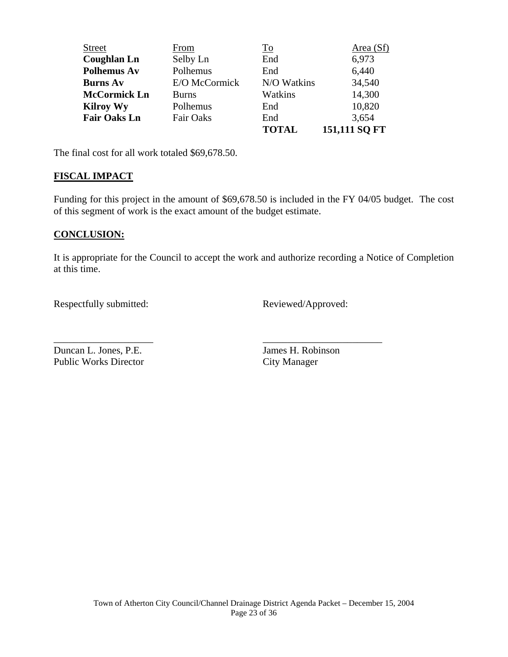| <b>Street</b>       | From             | To           | Area (Sf)     |
|---------------------|------------------|--------------|---------------|
| <b>Coughlan Ln</b>  | Selby Ln         | End          | 6,973         |
| <b>Polhemus Av</b>  | Polhemus         | End          | 6,440         |
| <b>Burns Av</b>     | E/O McCormick    | N/O Watkins  | 34,540        |
| <b>McCormick Ln</b> | <b>Burns</b>     | Watkins      | 14,300        |
| <b>Kilroy Wy</b>    | Polhemus         | End          | 10,820        |
| <b>Fair Oaks Ln</b> | <b>Fair Oaks</b> | End          | 3,654         |
|                     |                  | <b>TOTAL</b> | 151,111 SQ FT |

The final cost for all work totaled \$69,678.50.

#### **FISCAL IMPACT**

Funding for this project in the amount of \$69,678.50 is included in the FY 04/05 budget. The cost of this segment of work is the exact amount of the budget estimate.

#### **CONCLUSION:**

It is appropriate for the Council to accept the work and authorize recording a Notice of Completion at this time.

\_\_\_\_\_\_\_\_\_\_\_\_\_\_\_\_\_\_\_\_ \_\_\_\_\_\_\_\_\_\_\_\_\_\_\_\_\_\_\_\_\_\_\_\_

Respectfully submitted: Reviewed/Approved:

Duncan L. Jones, P.E. James H. Robinson Public Works Director City Manager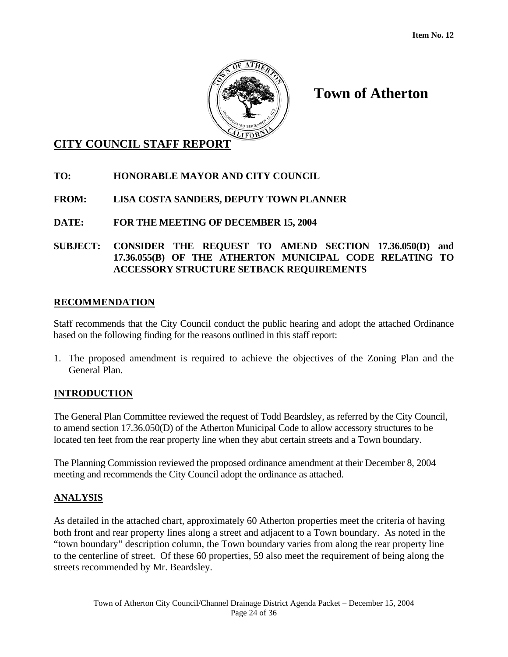

# **CITY COUNCIL STAFF REPORT**

# **TO: HONORABLE MAYOR AND CITY COUNCIL**

# **FROM: LISA COSTA SANDERS, DEPUTY TOWN PLANNER**

# **DATE: FOR THE MEETING OF DECEMBER 15, 2004**

# **SUBJECT: CONSIDER THE REQUEST TO AMEND SECTION 17.36.050(D) and 17.36.055(B) OF THE ATHERTON MUNICIPAL CODE RELATING TO ACCESSORY STRUCTURE SETBACK REQUIREMENTS**

# **RECOMMENDATION**

Staff recommends that the City Council conduct the public hearing and adopt the attached Ordinance based on the following finding for the reasons outlined in this staff report:

1. The proposed amendment is required to achieve the objectives of the Zoning Plan and the General Plan.

# **INTRODUCTION**

The General Plan Committee reviewed the request of Todd Beardsley, as referred by the City Council, to amend section 17.36.050(D) of the Atherton Municipal Code to allow accessory structures to be located ten feet from the rear property line when they abut certain streets and a Town boundary.

The Planning Commission reviewed the proposed ordinance amendment at their December 8, 2004 meeting and recommends the City Council adopt the ordinance as attached.

# **ANALYSIS**

As detailed in the attached chart, approximately 60 Atherton properties meet the criteria of having both front and rear property lines along a street and adjacent to a Town boundary. As noted in the "town boundary" description column, the Town boundary varies from along the rear property line to the centerline of street. Of these 60 properties, 59 also meet the requirement of being along the streets recommended by Mr. Beardsley.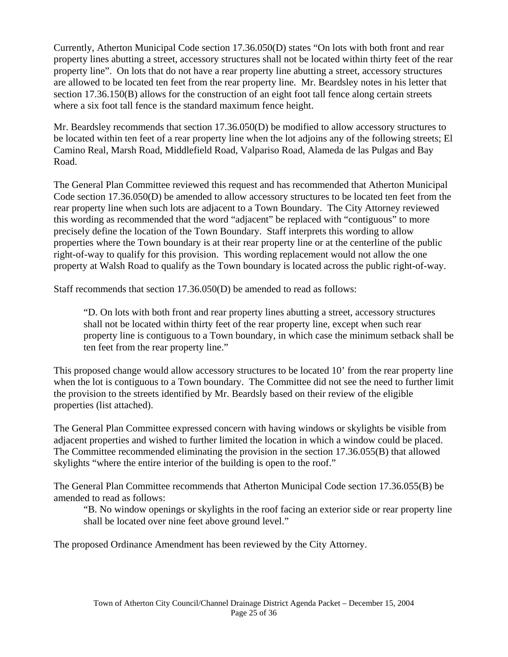Currently, Atherton Municipal Code section 17.36.050(D) states "On lots with both front and rear property lines abutting a street, accessory structures shall not be located within thirty feet of the rear property line". On lots that do not have a rear property line abutting a street, accessory structures are allowed to be located ten feet from the rear property line. Mr. Beardsley notes in his letter that section 17.36.150(B) allows for the construction of an eight foot tall fence along certain streets where a six foot tall fence is the standard maximum fence height.

Mr. Beardsley recommends that section 17.36.050(D) be modified to allow accessory structures to be located within ten feet of a rear property line when the lot adjoins any of the following streets; El Camino Real, Marsh Road, Middlefield Road, Valpariso Road, Alameda de las Pulgas and Bay Road.

The General Plan Committee reviewed this request and has recommended that Atherton Municipal Code section 17.36.050(D) be amended to allow accessory structures to be located ten feet from the rear property line when such lots are adjacent to a Town Boundary. The City Attorney reviewed this wording as recommended that the word "adjacent" be replaced with "contiguous" to more precisely define the location of the Town Boundary. Staff interprets this wording to allow properties where the Town boundary is at their rear property line or at the centerline of the public right-of-way to qualify for this provision. This wording replacement would not allow the one property at Walsh Road to qualify as the Town boundary is located across the public right-of-way.

Staff recommends that section 17.36.050(D) be amended to read as follows:

"D. On lots with both front and rear property lines abutting a street, accessory structures shall not be located within thirty feet of the rear property line, except when such rear property line is contiguous to a Town boundary, in which case the minimum setback shall be ten feet from the rear property line."

This proposed change would allow accessory structures to be located 10' from the rear property line when the lot is contiguous to a Town boundary. The Committee did not see the need to further limit the provision to the streets identified by Mr. Beardsly based on their review of the eligible properties (list attached).

The General Plan Committee expressed concern with having windows or skylights be visible from adjacent properties and wished to further limited the location in which a window could be placed. The Committee recommended eliminating the provision in the section 17.36.055(B) that allowed skylights "where the entire interior of the building is open to the roof."

The General Plan Committee recommends that Atherton Municipal Code section 17.36.055(B) be amended to read as follows:

"B. No window openings or skylights in the roof facing an exterior side or rear property line shall be located over nine feet above ground level."

The proposed Ordinance Amendment has been reviewed by the City Attorney.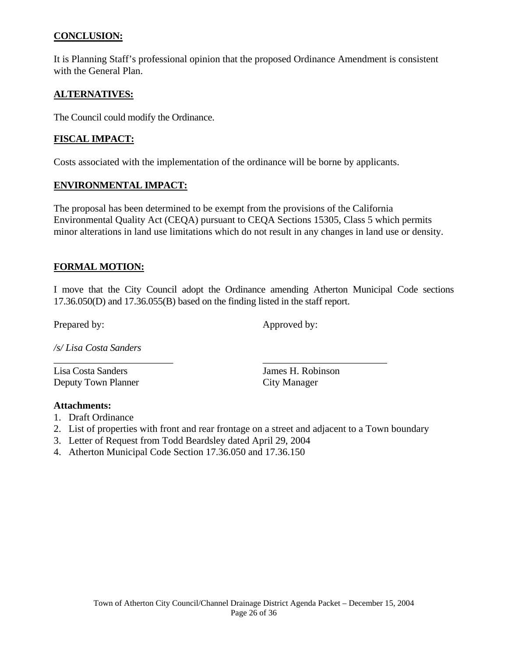# **CONCLUSION:**

It is Planning Staff's professional opinion that the proposed Ordinance Amendment is consistent with the General Plan.

# **ALTERNATIVES:**

The Council could modify the Ordinance.

# **FISCAL IMPACT:**

Costs associated with the implementation of the ordinance will be borne by applicants.

# **ENVIRONMENTAL IMPACT:**

The proposal has been determined to be exempt from the provisions of the California Environmental Quality Act (CEQA) pursuant to CEQA Sections 15305, Class 5 which permits minor alterations in land use limitations which do not result in any changes in land use or density.

# **FORMAL MOTION:**

I move that the City Council adopt the Ordinance amending Atherton Municipal Code sections 17.36.050(D) and 17.36.055(B) based on the finding listed in the staff report.

Prepared by: Approved by:

*/s/ Lisa Costa Sanders* 

Lisa Costa Sanders James H. Robinson Deputy Town Planner City Manager

# **Attachments:**

- 1. Draft Ordinance
- 2. List of properties with front and rear frontage on a street and adjacent to a Town boundary

\_\_\_\_\_\_\_\_\_\_\_\_\_\_\_\_\_\_\_\_\_\_\_\_ \_\_\_\_\_\_\_\_\_\_\_\_\_\_\_\_\_\_\_\_\_\_\_\_\_

- 3. Letter of Request from Todd Beardsley dated April 29, 2004
- 4. Atherton Municipal Code Section 17.36.050 and 17.36.150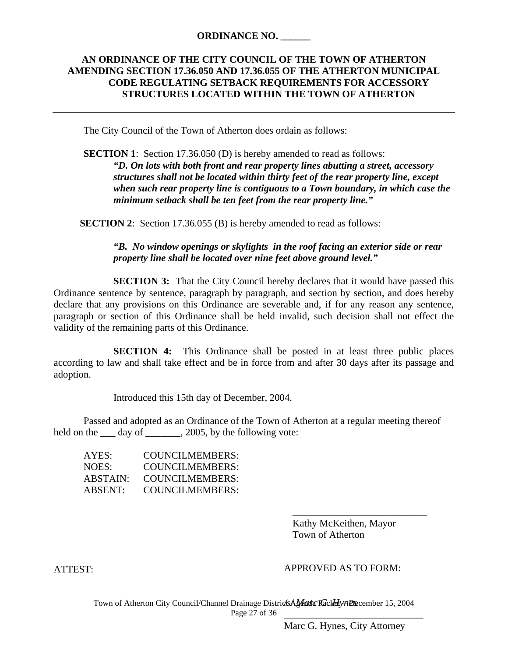#### **ORDINANCE NO. \_\_\_\_\_\_**

# **AN ORDINANCE OF THE CITY COUNCIL OF THE TOWN OF ATHERTON AMENDING SECTION 17.36.050 AND 17.36.055 OF THE ATHERTON MUNICIPAL CODE REGULATING SETBACK REQUIREMENTS FOR ACCESSORY STRUCTURES LOCATED WITHIN THE TOWN OF ATHERTON**

The City Council of the Town of Atherton does ordain as follows:

**SECTION 1:** Section 17.36.050 (D) is hereby amended to read as follows: *"D. On lots with both front and rear property lines abutting a street, accessory structures shall not be located within thirty feet of the rear property line, except when such rear property line is contiguous to a Town boundary, in which case the minimum setback shall be ten feet from the rear property line."* 

**SECTION 2:** Section 17.36.055 (B) is hereby amended to read as follows:

*"B. No window openings or skylights in the roof facing an exterior side or rear property line shall be located over nine feet above ground level."* 

**SECTION 3:** That the City Council hereby declares that it would have passed this Ordinance sentence by sentence, paragraph by paragraph, and section by section, and does hereby declare that any provisions on this Ordinance are severable and, if for any reason any sentence, paragraph or section of this Ordinance shall be held invalid, such decision shall not effect the validity of the remaining parts of this Ordinance.

**SECTION 4:** This Ordinance shall be posted in at least three public places according to law and shall take effect and be in force from and after 30 days after its passage and adoption.

Introduced this 15th day of December, 2004.

Passed and adopted as an Ordinance of the Town of Atherton at a regular meeting thereof held on the <u>s</u> day of \_\_\_\_\_\_\_, 2005, by the following vote:

| AYES:    | <b>COUNCILMEMBERS:</b> |
|----------|------------------------|
| NOES:    | COUNCILMEMBERS:        |
| ABSTAIN: | <b>COUNCILMEMBERS:</b> |
| ABSENT:  | COUNCILMEMBERS:        |

 $\overline{\phantom{a}}$  , and the contract of the contract of the contract of the contract of the contract of the contract of the contract of the contract of the contract of the contract of the contract of the contract of the contrac Kathy McKeithen, Mayor Town of Atherton

ATTEST:

#### APPROVED AS TO FORM:

Town of Atherton City Council/Channel Drainage Districts Alfaula RackHynDecember 15, 2004 Page 27 of 36 \_\_\_\_\_\_\_\_\_\_\_\_\_\_\_\_\_\_\_\_\_\_\_\_\_\_\_\_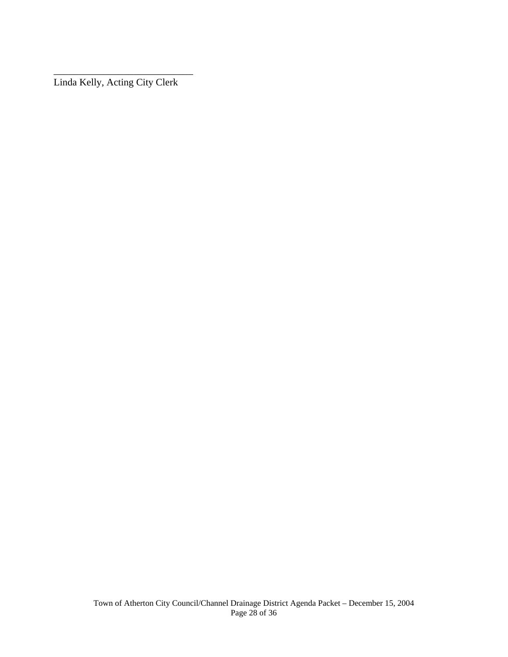Linda Kelly, Acting City Clerk

\_\_\_\_\_\_\_\_\_\_\_\_\_\_\_\_\_\_\_\_\_\_\_\_\_\_\_\_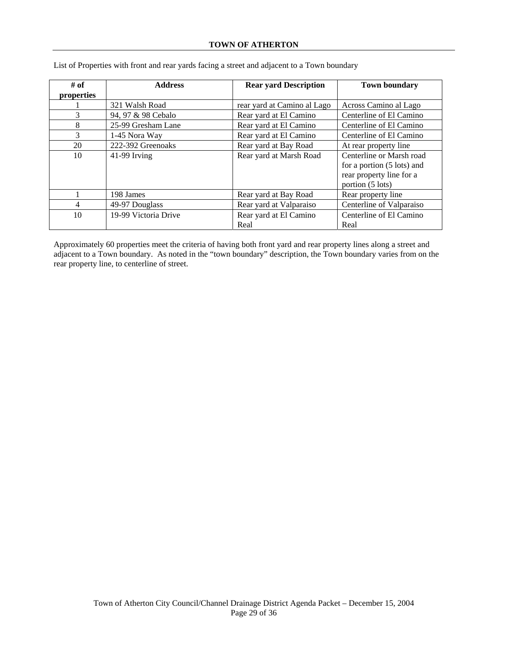| # of<br>properties | <b>Address</b>       | <b>Rear yard Description</b>   | <b>Town boundary</b>                                                                                   |
|--------------------|----------------------|--------------------------------|--------------------------------------------------------------------------------------------------------|
|                    |                      |                                |                                                                                                        |
|                    | 321 Walsh Road       | rear yard at Camino al Lago    | Across Camino al Lago                                                                                  |
| 3                  | 94, 97 & 98 Cebalo   | Rear yard at El Camino         | Centerline of El Camino                                                                                |
| 8                  | 25-99 Gresham Lane   | Rear yard at El Camino         | Centerline of El Camino                                                                                |
| 3                  | 1-45 Nora Way        | Rear yard at El Camino         | Centerline of El Camino                                                                                |
| 20                 | 222-392 Greenoaks    | Rear yard at Bay Road          | At rear property line                                                                                  |
| 10                 | 41-99 Irving         | Rear yard at Marsh Road        | Centerline or Marsh road<br>for a portion (5 lots) and<br>rear property line for a<br>portion (5 lots) |
|                    | 198 James            | Rear yard at Bay Road          | Rear property line                                                                                     |
| 4                  | 49-97 Douglass       | Rear yard at Valparaiso        | Centerline of Valparaiso                                                                               |
| 10                 | 19-99 Victoria Drive | Rear yard at El Camino<br>Real | Centerline of El Camino<br>Real                                                                        |

List of Properties with front and rear yards facing a street and adjacent to a Town boundary

Approximately 60 properties meet the criteria of having both front yard and rear property lines along a street and adjacent to a Town boundary. As noted in the "town boundary" description, the Town boundary varies from on the rear property line, to centerline of street.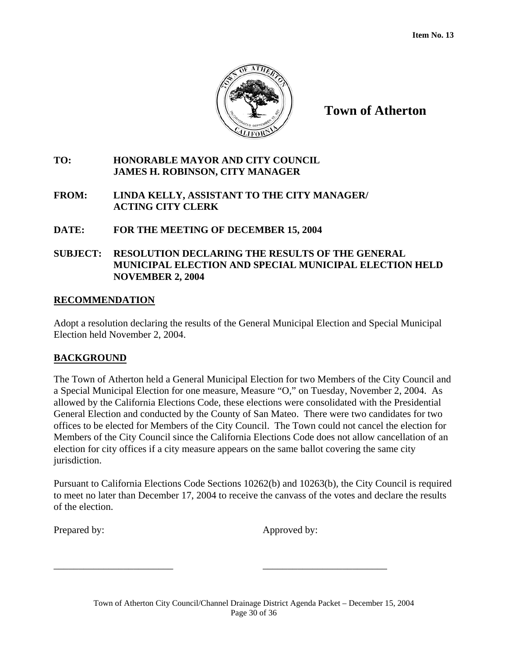

# **TO: HONORABLE MAYOR AND CITY COUNCIL JAMES H. ROBINSON, CITY MANAGER**

# **FROM: LINDA KELLY, ASSISTANT TO THE CITY MANAGER/ ACTING CITY CLERK**

# **DATE: FOR THE MEETING OF DECEMBER 15, 2004**

# **SUBJECT: RESOLUTION DECLARING THE RESULTS OF THE GENERAL MUNICIPAL ELECTION AND SPECIAL MUNICIPAL ELECTION HELD NOVEMBER 2, 2004**

# **RECOMMENDATION**

Adopt a resolution declaring the results of the General Municipal Election and Special Municipal Election held November 2, 2004.

# **BACKGROUND**

The Town of Atherton held a General Municipal Election for two Members of the City Council and a Special Municipal Election for one measure, Measure "O," on Tuesday, November 2, 2004. As allowed by the California Elections Code, these elections were consolidated with the Presidential General Election and conducted by the County of San Mateo. There were two candidates for two offices to be elected for Members of the City Council. The Town could not cancel the election for Members of the City Council since the California Elections Code does not allow cancellation of an election for city offices if a city measure appears on the same ballot covering the same city jurisdiction.

Pursuant to California Elections Code Sections 10262(b) and 10263(b), the City Council is required to meet no later than December 17, 2004 to receive the canvass of the votes and declare the results of the election.

Prepared by: Approved by:

\_\_\_\_\_\_\_\_\_\_\_\_\_\_\_\_\_\_\_\_\_\_\_\_ \_\_\_\_\_\_\_\_\_\_\_\_\_\_\_\_\_\_\_\_\_\_\_\_\_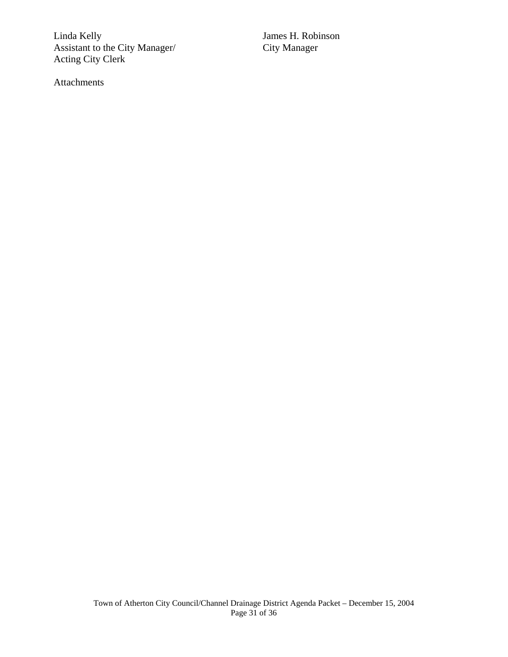Linda Kelly James H. Robinson Assistant to the City Manager/ Acting City Clerk

Attachments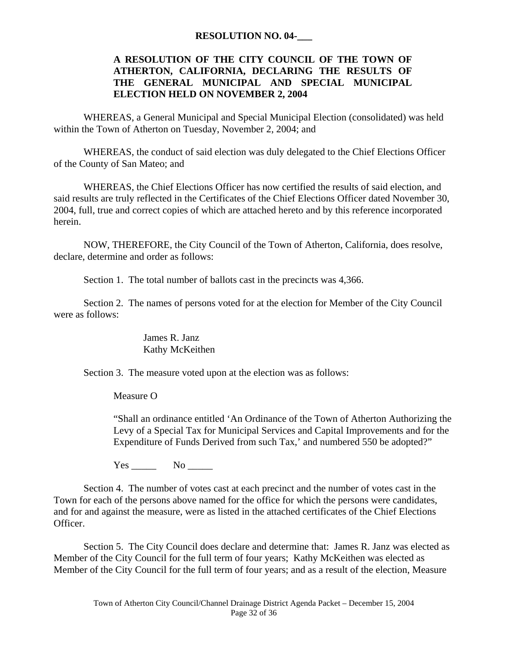#### **RESOLUTION NO. 04-\_\_\_**

# **A RESOLUTION OF THE CITY COUNCIL OF THE TOWN OF ATHERTON, CALIFORNIA, DECLARING THE RESULTS OF THE GENERAL MUNICIPAL AND SPECIAL MUNICIPAL ELECTION HELD ON NOVEMBER 2, 2004**

WHEREAS, a General Municipal and Special Municipal Election (consolidated) was held within the Town of Atherton on Tuesday, November 2, 2004; and

WHEREAS, the conduct of said election was duly delegated to the Chief Elections Officer of the County of San Mateo; and

WHEREAS, the Chief Elections Officer has now certified the results of said election, and said results are truly reflected in the Certificates of the Chief Elections Officer dated November 30, 2004, full, true and correct copies of which are attached hereto and by this reference incorporated herein.

NOW, THEREFORE, the City Council of the Town of Atherton, California, does resolve, declare, determine and order as follows:

Section 1. The total number of ballots cast in the precincts was 4,366.

Section 2. The names of persons voted for at the election for Member of the City Council were as follows:

> James R. Janz Kathy McKeithen

Section 3. The measure voted upon at the election was as follows:

Measure O

"Shall an ordinance entitled 'An Ordinance of the Town of Atherton Authorizing the Levy of a Special Tax for Municipal Services and Capital Improvements and for the Expenditure of Funds Derived from such Tax,' and numbered 550 be adopted?"

 $Yes \_\_$  No  $\_\_$ 

Section 4. The number of votes cast at each precinct and the number of votes cast in the Town for each of the persons above named for the office for which the persons were candidates, and for and against the measure, were as listed in the attached certificates of the Chief Elections Officer.

Section 5. The City Council does declare and determine that: James R. Janz was elected as Member of the City Council for the full term of four years; Kathy McKeithen was elected as Member of the City Council for the full term of four years; and as a result of the election, Measure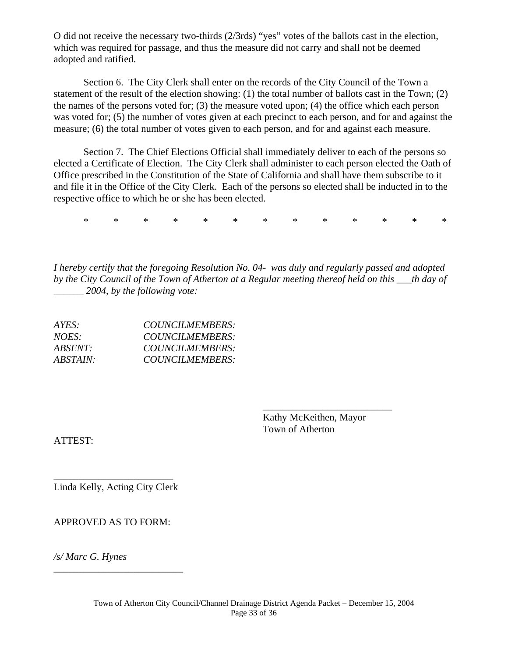O did not receive the necessary two-thirds (2/3rds) "yes" votes of the ballots cast in the election, which was required for passage, and thus the measure did not carry and shall not be deemed adopted and ratified.

Section 6. The City Clerk shall enter on the records of the City Council of the Town a statement of the result of the election showing: (1) the total number of ballots cast in the Town; (2) the names of the persons voted for; (3) the measure voted upon; (4) the office which each person was voted for; (5) the number of votes given at each precinct to each person, and for and against the measure; (6) the total number of votes given to each person, and for and against each measure.

Section 7. The Chief Elections Official shall immediately deliver to each of the persons so elected a Certificate of Election. The City Clerk shall administer to each person elected the Oath of Office prescribed in the Constitution of the State of California and shall have them subscribe to it and file it in the Office of the City Clerk. Each of the persons so elected shall be inducted in to the respective office to which he or she has been elected.

\* \* \* \* \* \* \* \* \* \* \* \* \*

*I hereby certify that the foregoing Resolution No. 04- was duly and regularly passed and adopted by the City Council of the Town of Atherton at a Regular meeting thereof held on this \_\_\_th day of \_\_\_\_\_\_ 2004, by the following vote:* 

\_\_\_\_\_\_\_\_\_\_\_\_\_\_\_\_\_\_\_\_\_\_\_\_\_\_

| $AYES^+$        | <b>COUNCILMEMBERS:</b> |
|-----------------|------------------------|
| NOES:           | COUNCILMEMBERS:        |
| $ABSENT \cdot$  | COUNCILMEMBERS:        |
| <i>ABSTAIN:</i> | COUNCILMEMBERS:        |

Kathy McKeithen, Mayor Town of Atherton

ATTEST:

\_\_\_\_\_\_\_\_\_\_\_\_\_\_\_\_\_\_\_\_\_\_\_\_ Linda Kelly, Acting City Clerk

APPROVED AS TO FORM:

\_\_\_\_\_\_\_\_\_\_\_\_\_\_\_\_\_\_\_\_\_\_\_\_\_\_

*/s/ Marc G. Hynes*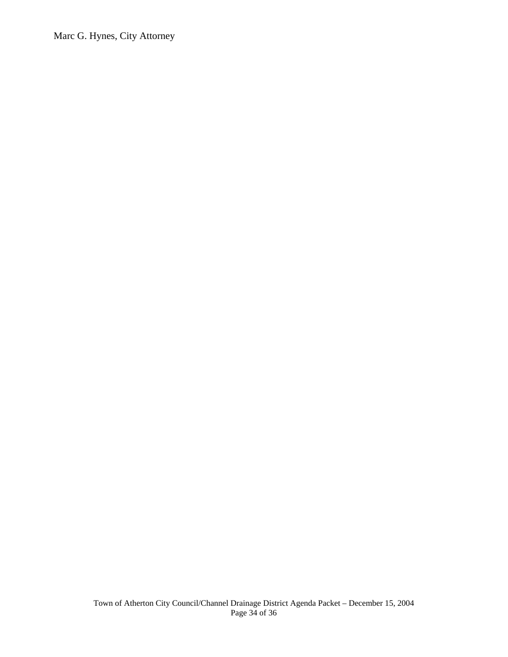Marc G. Hynes, City Attorney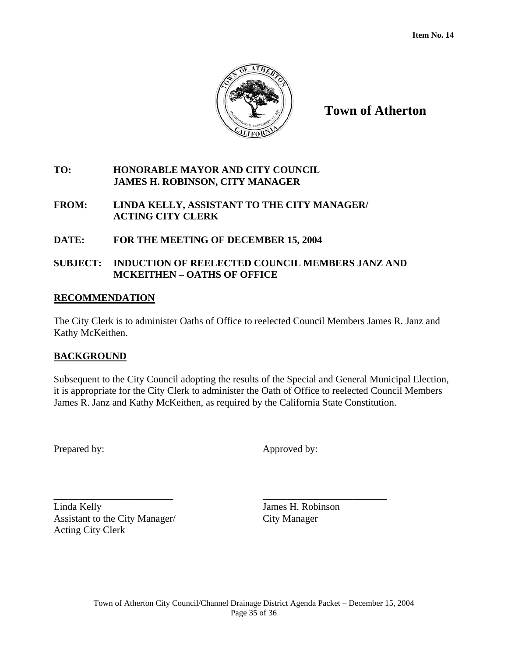

# **TO: HONORABLE MAYOR AND CITY COUNCIL JAMES H. ROBINSON, CITY MANAGER**

# **FROM: LINDA KELLY, ASSISTANT TO THE CITY MANAGER/ ACTING CITY CLERK**

# **DATE: FOR THE MEETING OF DECEMBER 15, 2004**

# **SUBJECT: INDUCTION OF REELECTED COUNCIL MEMBERS JANZ AND MCKEITHEN – OATHS OF OFFICE**

#### **RECOMMENDATION**

The City Clerk is to administer Oaths of Office to reelected Council Members James R. Janz and Kathy McKeithen.

# **BACKGROUND**

Subsequent to the City Council adopting the results of the Special and General Municipal Election, it is appropriate for the City Clerk to administer the Oath of Office to reelected Council Members James R. Janz and Kathy McKeithen, as required by the California State Constitution.

\_\_\_\_\_\_\_\_\_\_\_\_\_\_\_\_\_\_\_\_\_\_\_\_ \_\_\_\_\_\_\_\_\_\_\_\_\_\_\_\_\_\_\_\_\_\_\_\_\_

Prepared by: Approved by:

Linda Kelly James H. Robinson Assistant to the City Manager/ City Manager Acting City Clerk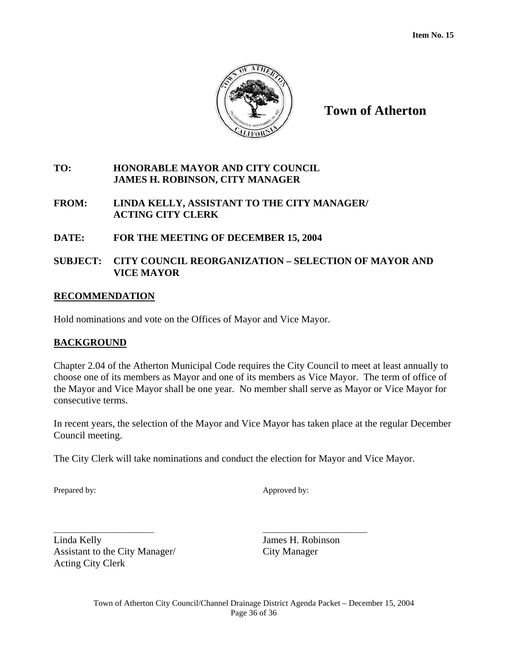

# **TO: HONORABLE MAYOR AND CITY COUNCIL JAMES H. ROBINSON, CITY MANAGER**

# **FROM: LINDA KELLY, ASSISTANT TO THE CITY MANAGER/ ACTING CITY CLERK**

# **DATE: FOR THE MEETING OF DECEMBER 15, 2004**

# **SUBJECT: CITY COUNCIL REORGANIZATION – SELECTION OF MAYOR AND VICE MAYOR**

#### **RECOMMENDATION**

Hold nominations and vote on the Offices of Mayor and Vice Mayor.

# **BACKGROUND**

Chapter 2.04 of the Atherton Municipal Code requires the City Council to meet at least annually to choose one of its members as Mayor and one of its members as Vice Mayor. The term of office of the Mayor and Vice Mayor shall be one year. No member shall serve as Mayor or Vice Mayor for consecutive terms.

In recent years, the selection of the Mayor and Vice Mayor has taken place at the regular December Council meeting.

The City Clerk will take nominations and conduct the election for Mayor and Vice Mayor.

Prepared by: Approved by:

Linda Kelly James H. Robinson Assistant to the City Manager/ City Manager Acting City Clerk

\_\_\_\_\_\_\_\_\_\_\_\_\_\_\_\_\_\_\_\_\_\_\_\_ \_\_\_\_\_\_\_\_\_\_\_\_\_\_\_\_\_\_\_\_\_\_\_\_\_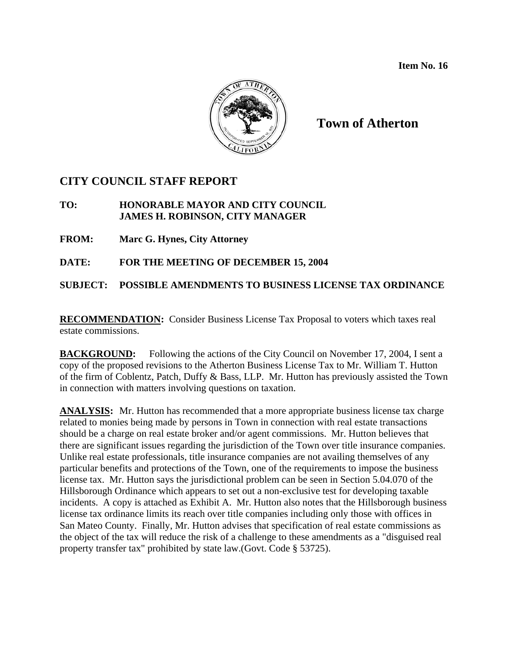

# **CITY COUNCIL STAFF REPORT**

# **TO: HONORABLE MAYOR AND CITY COUNCIL JAMES H. ROBINSON, CITY MANAGER**

**FROM: Marc G. Hynes, City Attorney** 

**DATE: FOR THE MEETING OF DECEMBER 15, 2004** 

**SUBJECT: POSSIBLE AMENDMENTS TO BUSINESS LICENSE TAX ORDINANCE** 

**RECOMMENDATION:** Consider Business License Tax Proposal to voters which taxes real estate commissions.

**BACKGROUND:** Following the actions of the City Council on November 17, 2004, I sent a copy of the proposed revisions to the Atherton Business License Tax to Mr. William T. Hutton of the firm of Coblentz, Patch, Duffy & Bass, LLP. Mr. Hutton has previously assisted the Town in connection with matters involving questions on taxation.

**ANALYSIS:** Mr. Hutton has recommended that a more appropriate business license tax charge related to monies being made by persons in Town in connection with real estate transactions should be a charge on real estate broker and/or agent commissions. Mr. Hutton believes that there are significant issues regarding the jurisdiction of the Town over title insurance companies. Unlike real estate professionals, title insurance companies are not availing themselves of any particular benefits and protections of the Town, one of the requirements to impose the business license tax. Mr. Hutton says the jurisdictional problem can be seen in Section 5.04.070 of the Hillsborough Ordinance which appears to set out a non-exclusive test for developing taxable incidents. A copy is attached as Exhibit A. Mr. Hutton also notes that the Hillsborough business license tax ordinance limits its reach over title companies including only those with offices in San Mateo County. Finally, Mr. Hutton advises that specification of real estate commissions as the object of the tax will reduce the risk of a challenge to these amendments as a "disguised real property transfer tax" prohibited by state law.(Govt. Code § 53725).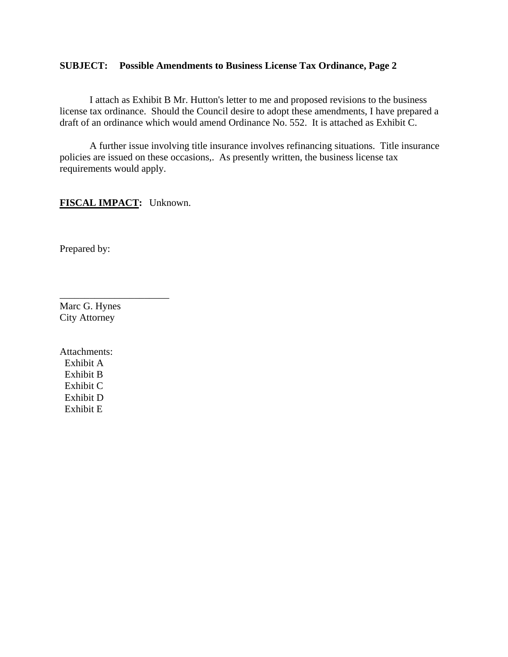#### **SUBJECT: Possible Amendments to Business License Tax Ordinance, Page 2**

 I attach as Exhibit B Mr. Hutton's letter to me and proposed revisions to the business license tax ordinance. Should the Council desire to adopt these amendments, I have prepared a draft of an ordinance which would amend Ordinance No. 552. It is attached as Exhibit C.

 A further issue involving title insurance involves refinancing situations. Title insurance policies are issued on these occasions,. As presently written, the business license tax requirements would apply.

**FISCAL IMPACT:** Unknown.

\_\_\_\_\_\_\_\_\_\_\_\_\_\_\_\_\_\_\_\_\_\_

Prepared by:

Marc G. Hynes City Attorney

Attachments: Exhibit A Exhibit B Exhibit C Exhibit D Exhibit E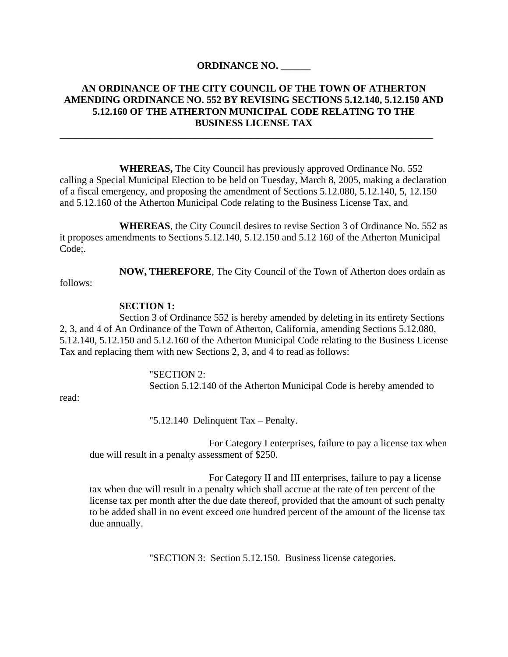#### **ORDINANCE NO. \_\_\_\_\_\_**

# **AN ORDINANCE OF THE CITY COUNCIL OF THE TOWN OF ATHERTON AMENDING ORDINANCE NO. 552 BY REVISING SECTIONS 5.12.140, 5.12.150 AND 5.12.160 OF THE ATHERTON MUNICIPAL CODE RELATING TO THE BUSINESS LICENSE TAX**

\_\_\_\_\_\_\_\_\_\_\_\_\_\_\_\_\_\_\_\_\_\_\_\_\_\_\_\_\_\_\_\_\_\_\_\_\_\_\_\_\_\_\_\_\_\_\_\_\_\_\_\_\_\_\_\_\_\_\_\_\_\_\_\_\_\_\_\_\_\_\_\_\_\_\_

 **WHEREAS,** The City Council has previously approved Ordinance No. 552 calling a Special Municipal Election to be held on Tuesday, March 8, 2005, making a declaration of a fiscal emergency, and proposing the amendment of Sections 5.12.080, 5.12.140, 5, 12.150 and 5.12.160 of the Atherton Municipal Code relating to the Business License Tax, and

 **WHEREAS**, the City Council desires to revise Section 3 of Ordinance No. 552 as it proposes amendments to Sections 5.12.140, 5.12.150 and 5.12 160 of the Atherton Municipal Code;.

**NOW, THEREFORE**, The City Council of the Town of Atherton does ordain as

follows:

#### **SECTION 1:**

Section 3 of Ordinance 552 is hereby amended by deleting in its entirety Sections 2, 3, and 4 of An Ordinance of the Town of Atherton, California, amending Sections 5.12.080, 5.12.140, 5.12.150 and 5.12.160 of the Atherton Municipal Code relating to the Business License Tax and replacing them with new Sections 2, 3, and 4 to read as follows:

> "SECTION 2: Section 5.12.140 of the Atherton Municipal Code is hereby amended to

read:

"5.12.140 Delinquent Tax – Penalty.

 For Category I enterprises, failure to pay a license tax when due will result in a penalty assessment of \$250.

 For Category II and III enterprises, failure to pay a license tax when due will result in a penalty which shall accrue at the rate of ten percent of the license tax per month after the due date thereof, provided that the amount of such penalty to be added shall in no event exceed one hundred percent of the amount of the license tax due annually.

"SECTION 3: Section 5.12.150. Business license categories.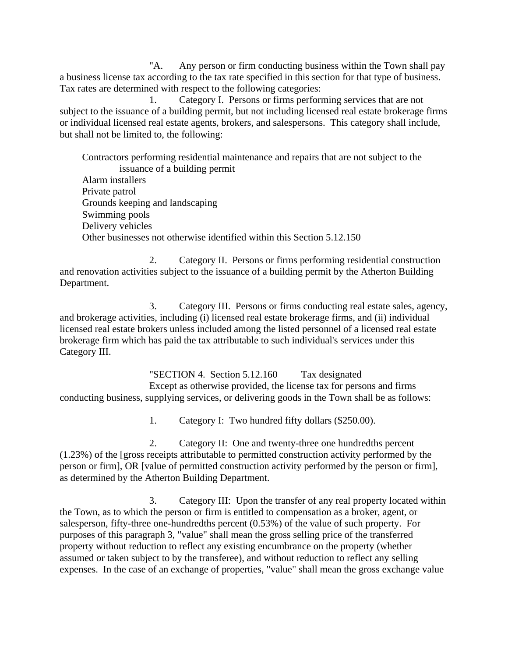"A. Any person or firm conducting business within the Town shall pay a business license tax according to the tax rate specified in this section for that type of business. Tax rates are determined with respect to the following categories:

 1. Category I. Persons or firms performing services that are not subject to the issuance of a building permit, but not including licensed real estate brokerage firms or individual licensed real estate agents, brokers, and salespersons. This category shall include, but shall not be limited to, the following:

Contractors performing residential maintenance and repairs that are not subject to the issuance of a building permit

Alarm installers Private patrol Grounds keeping and landscaping Swimming pools Delivery vehicles Other businesses not otherwise identified within this Section 5.12.150

 2. Category II. Persons or firms performing residential construction and renovation activities subject to the issuance of a building permit by the Atherton Building Department.

 3. Category III. Persons or firms conducting real estate sales, agency, and brokerage activities, including (i) licensed real estate brokerage firms, and (ii) individual licensed real estate brokers unless included among the listed personnel of a licensed real estate brokerage firm which has paid the tax attributable to such individual's services under this Category III.

 "SECTION 4. Section 5.12.160 Tax designated Except as otherwise provided, the license tax for persons and firms conducting business, supplying services, or delivering goods in the Town shall be as follows:

1. Category I: Two hundred fifty dollars (\$250.00).

 2. Category II: One and twenty-three one hundredths percent (1.23%) of the [gross receipts attributable to permitted construction activity performed by the person or firm], OR [value of permitted construction activity performed by the person or firm], as determined by the Atherton Building Department.

 3. Category III: Upon the transfer of any real property located within the Town, as to which the person or firm is entitled to compensation as a broker, agent, or salesperson, fifty-three one-hundredths percent (0.53%) of the value of such property. For purposes of this paragraph 3, "value" shall mean the gross selling price of the transferred property without reduction to reflect any existing encumbrance on the property (whether assumed or taken subject to by the transferee), and without reduction to reflect any selling expenses. In the case of an exchange of properties, "value" shall mean the gross exchange value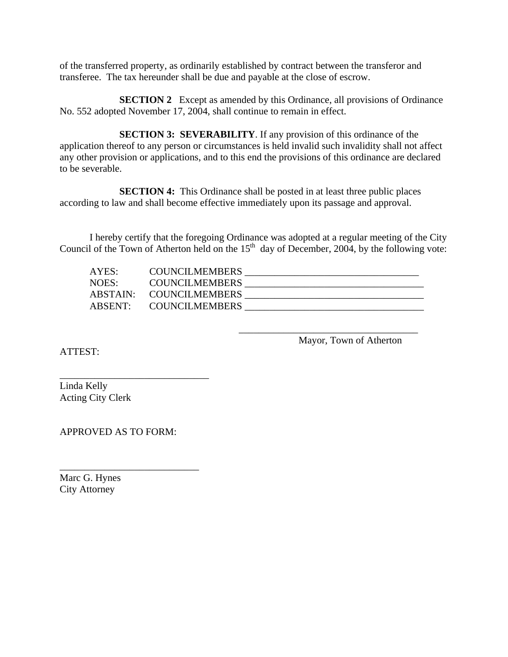of the transferred property, as ordinarily established by contract between the transferor and transferee. The tax hereunder shall be due and payable at the close of escrow.

**SECTION 2** Except as amended by this Ordinance, all provisions of Ordinance No. 552 adopted November 17, 2004, shall continue to remain in effect.

**SECTION 3: SEVERABILITY**. If any provision of this ordinance of the application thereof to any person or circumstances is held invalid such invalidity shall not affect any other provision or applications, and to this end the provisions of this ordinance are declared to be severable.

**SECTION 4:** This Ordinance shall be posted in at least three public places according to law and shall become effective immediately upon its passage and approval.

 I hereby certify that the foregoing Ordinance was adopted at a regular meeting of the City Council of the Town of Atherton held on the  $15<sup>th</sup>$  day of December, 2004, by the following vote:

| AYES:    | <b>COUNCILMEMBERS</b> |  |
|----------|-----------------------|--|
| NOES:    | <b>COUNCILMEMBERS</b> |  |
| ABSTAIN: | <b>COUNCILMEMBERS</b> |  |
| ABSENT∙  | <b>COUNCILMEMBERS</b> |  |

 $\overline{\phantom{a}}$  , which is a set of the set of the set of the set of the set of the set of the set of the set of the set of the set of the set of the set of the set of the set of the set of the set of the set of the set of th

Mayor, Town of Atherton

ATTEST:

Linda Kelly Acting City Clerk

APPROVED AS TO FORM:

\_\_\_\_\_\_\_\_\_\_\_\_\_\_\_\_\_\_\_\_\_\_\_\_\_\_\_\_

\_\_\_\_\_\_\_\_\_\_\_\_\_\_\_\_\_\_\_\_\_\_\_\_\_\_\_\_\_\_

Marc G. Hynes City Attorney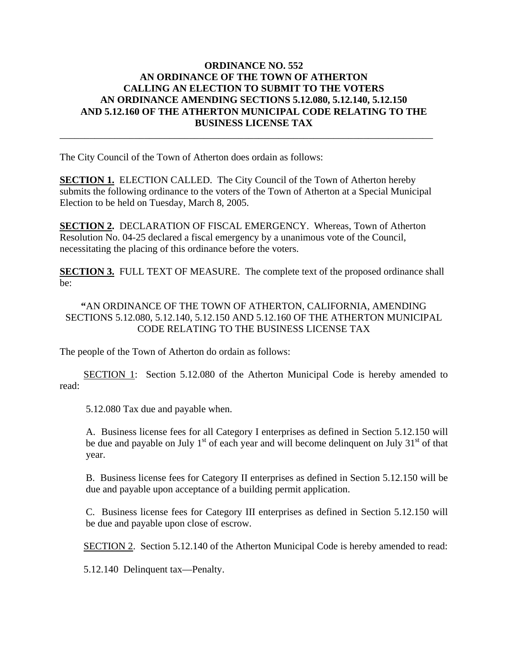### **ORDINANCE NO. 552 AN ORDINANCE OF THE TOWN OF ATHERTON CALLING AN ELECTION TO SUBMIT TO THE VOTERS AN ORDINANCE AMENDING SECTIONS 5.12.080, 5.12.140, 5.12.150 AND 5.12.160 OF THE ATHERTON MUNICIPAL CODE RELATING TO THE BUSINESS LICENSE TAX**

The City Council of the Town of Atherton does ordain as follows:

**SECTION 1.** ELECTION CALLED. The City Council of the Town of Atherton hereby submits the following ordinance to the voters of the Town of Atherton at a Special Municipal Election to be held on Tuesday, March 8, 2005.

\_\_\_\_\_\_\_\_\_\_\_\_\_\_\_\_\_\_\_\_\_\_\_\_\_\_\_\_\_\_\_\_\_\_\_\_\_\_\_\_\_\_\_\_\_\_\_\_\_\_\_\_\_\_\_\_\_\_\_\_\_\_\_\_\_\_\_\_\_\_\_\_\_\_\_

**SECTION 2.** DECLARATION OF FISCAL EMERGENCY. Whereas, Town of Atherton Resolution No. 04-25 declared a fiscal emergency by a unanimous vote of the Council, necessitating the placing of this ordinance before the voters.

**SECTION 3.** FULL TEXT OF MEASURE. The complete text of the proposed ordinance shall be:

**"**AN ORDINANCE OF THE TOWN OF ATHERTON, CALIFORNIA, AMENDING SECTIONS 5.12.080, 5.12.140, 5.12.150 AND 5.12.160 OF THE ATHERTON MUNICIPAL CODE RELATING TO THE BUSINESS LICENSE TAX

The people of the Town of Atherton do ordain as follows:

SECTION 1: Section 5.12.080 of the Atherton Municipal Code is hereby amended to read:

5.12.080 Tax due and payable when.

A. Business license fees for all Category I enterprises as defined in Section 5.12.150 will be due and payable on July  $1<sup>st</sup>$  of each year and will become delinquent on July  $31<sup>st</sup>$  of that year.

B. Business license fees for Category II enterprises as defined in Section 5.12.150 will be due and payable upon acceptance of a building permit application.

C. Business license fees for Category III enterprises as defined in Section 5.12.150 will be due and payable upon close of escrow.

SECTION 2. Section 5.12.140 of the Atherton Municipal Code is hereby amended to read:

5.12.140 Delinquent tax—Penalty.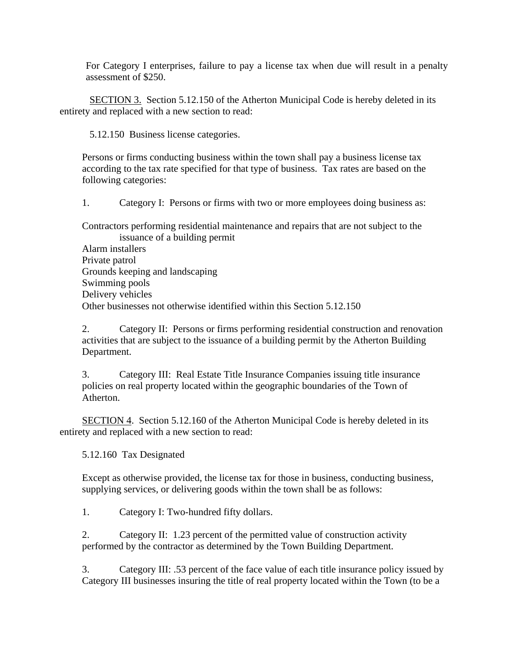For Category I enterprises, failure to pay a license tax when due will result in a penalty assessment of \$250.

SECTION 3. Section 5.12.150 of the Atherton Municipal Code is hereby deleted in its entirety and replaced with a new section to read:

5.12.150 Business license categories.

Persons or firms conducting business within the town shall pay a business license tax according to the tax rate specified for that type of business. Tax rates are based on the following categories:

1. Category I: Persons or firms with two or more employees doing business as:

Contractors performing residential maintenance and repairs that are not subject to the issuance of a building permit Alarm installers

Private patrol Grounds keeping and landscaping Swimming pools Delivery vehicles Other businesses not otherwise identified within this Section 5.12.150

2. Category II: Persons or firms performing residential construction and renovation activities that are subject to the issuance of a building permit by the Atherton Building Department.

3. Category III: Real Estate Title Insurance Companies issuing title insurance policies on real property located within the geographic boundaries of the Town of Atherton.

 SECTION 4. Section 5.12.160 of the Atherton Municipal Code is hereby deleted in its entirety and replaced with a new section to read:

5.12.160 Tax Designated

Except as otherwise provided, the license tax for those in business, conducting business, supplying services, or delivering goods within the town shall be as follows:

1. Category I: Two-hundred fifty dollars.

2. Category II: 1.23 percent of the permitted value of construction activity performed by the contractor as determined by the Town Building Department.

3. Category III: .53 percent of the face value of each title insurance policy issued by Category III businesses insuring the title of real property located within the Town (to be a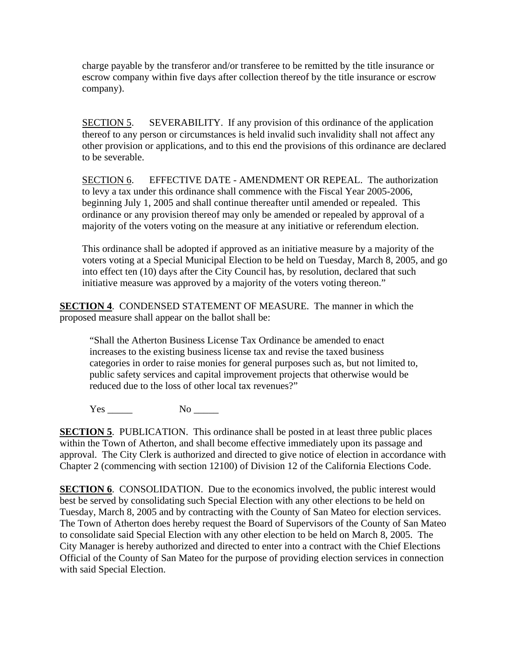charge payable by the transferor and/or transferee to be remitted by the title insurance or escrow company within five days after collection thereof by the title insurance or escrow company).

SECTION 5. SEVERABILITY. If any provision of this ordinance of the application thereof to any person or circumstances is held invalid such invalidity shall not affect any other provision or applications, and to this end the provisions of this ordinance are declared to be severable.

SECTION 6. EFFECTIVE DATE - AMENDMENT OR REPEAL. The authorization to levy a tax under this ordinance shall commence with the Fiscal Year 2005-2006, beginning July 1, 2005 and shall continue thereafter until amended or repealed. This ordinance or any provision thereof may only be amended or repealed by approval of a majority of the voters voting on the measure at any initiative or referendum election.

This ordinance shall be adopted if approved as an initiative measure by a majority of the voters voting at a Special Municipal Election to be held on Tuesday, March 8, 2005, and go into effect ten (10) days after the City Council has, by resolution, declared that such initiative measure was approved by a majority of the voters voting thereon."

**SECTION 4**. CONDENSED STATEMENT OF MEASURE. The manner in which the proposed measure shall appear on the ballot shall be:

"Shall the Atherton Business License Tax Ordinance be amended to enact increases to the existing business license tax and revise the taxed business categories in order to raise monies for general purposes such as, but not limited to, public safety services and capital improvement projects that otherwise would be reduced due to the loss of other local tax revenues?"

Yes \_\_\_\_\_ No \_\_\_\_\_

**SECTION 5**. PUBLICATION. This ordinance shall be posted in at least three public places within the Town of Atherton, and shall become effective immediately upon its passage and approval. The City Clerk is authorized and directed to give notice of election in accordance with Chapter 2 (commencing with section 12100) of Division 12 of the California Elections Code.

**SECTION 6.** CONSOLIDATION. Due to the economics involved, the public interest would best be served by consolidating such Special Election with any other elections to be held on Tuesday, March 8, 2005 and by contracting with the County of San Mateo for election services. The Town of Atherton does hereby request the Board of Supervisors of the County of San Mateo to consolidate said Special Election with any other election to be held on March 8, 2005. The City Manager is hereby authorized and directed to enter into a contract with the Chief Elections Official of the County of San Mateo for the purpose of providing election services in connection with said Special Election.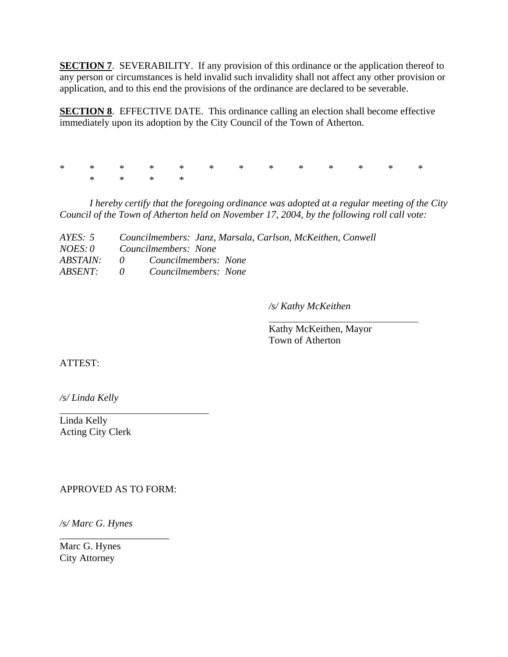**SECTION 7.** SEVERABILITY. If any provision of this ordinance or the application thereof to any person or circumstances is held invalid such invalidity shall not affect any other provision or application, and to this end the provisions of the ordinance are declared to be severable.

**SECTION 8.** EFFECTIVE DATE. This ordinance calling an election shall become effective immediately upon its adoption by the City Council of the Town of Atherton.

\* \* \* \* \* \* \* \* \* \* \* \* \* \* \* \* \*

 *I hereby certify that the foregoing ordinance was adopted at a regular meeting of the City Council of the Town of Atherton held on November 17, 2004, by the following roll call vote:* 

| AYES: $5$              |              | Councilmembers: Janz, Marsala, Carlson, McKeithen, Conwell |
|------------------------|--------------|------------------------------------------------------------|
| <i>NOES:</i> 0         |              | Councilmembers: None                                       |
| <i><b>ABSTAIN:</b></i> | $\mathbf{0}$ | Councilmembers: None                                       |
| <i>ABSENT:</i>         | $\theta$     | Councilmembers: None                                       |

*/s/ Kathy McKeithen* 

 Kathy McKeithen, Mayor Town of Atherton

ATTEST:

*/s/ Linda Kelly* 

Linda Kelly Acting City Clerk

APPROVED AS TO FORM:

\_\_\_\_\_\_\_\_\_\_\_\_\_\_\_\_\_\_\_\_\_\_

*/s/ Marc G. Hynes* 

Marc G. Hynes City Attorney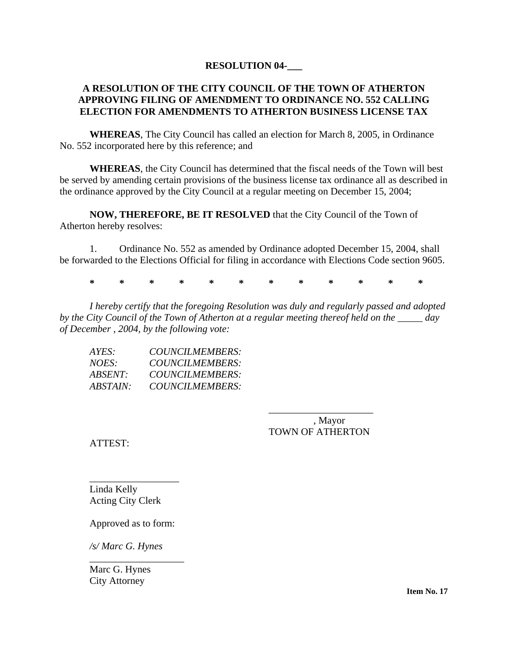### **RESOLUTION 04-\_\_\_**

#### **A RESOLUTION OF THE CITY COUNCIL OF THE TOWN OF ATHERTON APPROVING FILING OF AMENDMENT TO ORDINANCE NO. 552 CALLING ELECTION FOR AMENDMENTS TO ATHERTON BUSINESS LICENSE TAX**

**WHEREAS**, The City Council has called an election for March 8, 2005, in Ordinance No. 552 incorporated here by this reference; and

**WHEREAS**, the City Council has determined that the fiscal needs of the Town will best be served by amending certain provisions of the business license tax ordinance all as described in the ordinance approved by the City Council at a regular meeting on December 15, 2004;

**NOW, THEREFORE, BE IT RESOLVED** that the City Council of the Town of Atherton hereby resolves:

 1. Ordinance No. 552 as amended by Ordinance adopted December 15, 2004, shall be forwarded to the Elections Official for filing in accordance with Elections Code section 9605.

**\* \* \* \* \* \* \* \* \* \* \* \*** 

*I hereby certify that the foregoing Resolution was duly and regularly passed and adopted by the City Council of the Town of Atherton at a regular meeting thereof held on the \_\_\_\_\_ day of December , 2004, by the following vote:* 

| AYES:           | <i>COUNCILMEMBERS:</i> |
|-----------------|------------------------|
| NOES:           | <i>COUNCILMEMBERS:</i> |
| ABSENT:         | <i>COUNCILMEMBERS:</i> |
| <i>ABSTAIN:</i> | <i>COUNCILMEMBERS:</i> |

 $\overline{\phantom{a}}$  , which is a set of the set of the set of the set of the set of the set of the set of the set of the set of the set of the set of the set of the set of the set of the set of the set of the set of the set of th , Mayor TOWN OF ATHERTON

ATTEST:

Linda Kelly Acting City Clerk

Approved as to form:

\_\_\_\_\_\_\_\_\_\_\_\_\_\_\_\_\_\_\_

\_\_\_\_\_\_\_\_\_\_\_\_\_\_\_\_\_\_

*/s/ Marc G. Hynes* 

Marc G. Hynes City Attorney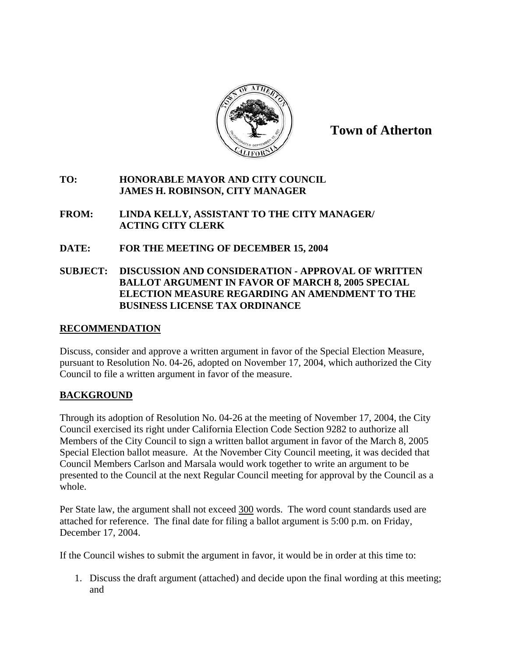

#### **TO: HONORABLE MAYOR AND CITY COUNCIL JAMES H. ROBINSON, CITY MANAGER**

- **FROM: LINDA KELLY, ASSISTANT TO THE CITY MANAGER/ ACTING CITY CLERK**
- **DATE: FOR THE MEETING OF DECEMBER 15, 2004**

# **SUBJECT: DISCUSSION AND CONSIDERATION - APPROVAL OF WRITTEN BALLOT ARGUMENT IN FAVOR OF MARCH 8, 2005 SPECIAL ELECTION MEASURE REGARDING AN AMENDMENT TO THE BUSINESS LICENSE TAX ORDINANCE**

# **RECOMMENDATION**

Discuss, consider and approve a written argument in favor of the Special Election Measure, pursuant to Resolution No. 04-26, adopted on November 17, 2004, which authorized the City Council to file a written argument in favor of the measure.

# **BACKGROUND**

Through its adoption of Resolution No. 04-26 at the meeting of November 17, 2004, the City Council exercised its right under California Election Code Section 9282 to authorize all Members of the City Council to sign a written ballot argument in favor of the March 8, 2005 Special Election ballot measure. At the November City Council meeting, it was decided that Council Members Carlson and Marsala would work together to write an argument to be presented to the Council at the next Regular Council meeting for approval by the Council as a whole.

Per State law, the argument shall not exceed 300 words. The word count standards used are attached for reference. The final date for filing a ballot argument is 5:00 p.m. on Friday, December 17, 2004.

If the Council wishes to submit the argument in favor, it would be in order at this time to:

1. Discuss the draft argument (attached) and decide upon the final wording at this meeting; and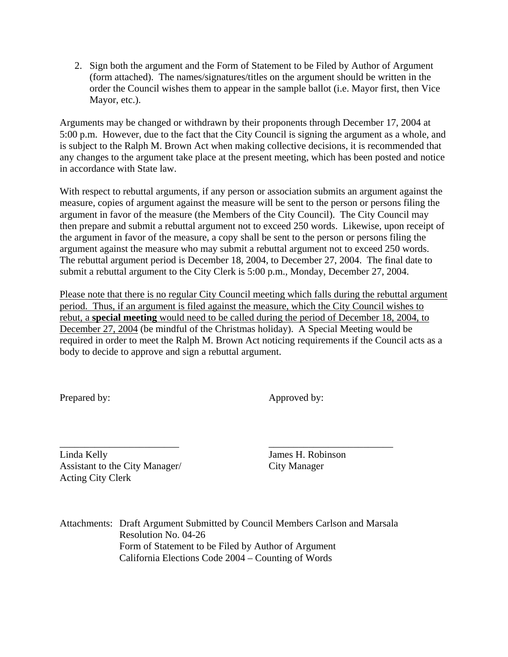2. Sign both the argument and the Form of Statement to be Filed by Author of Argument (form attached). The names/signatures/titles on the argument should be written in the order the Council wishes them to appear in the sample ballot (i.e. Mayor first, then Vice Mayor, etc.).

Arguments may be changed or withdrawn by their proponents through December 17, 2004 at 5:00 p.m. However, due to the fact that the City Council is signing the argument as a whole, and is subject to the Ralph M. Brown Act when making collective decisions, it is recommended that any changes to the argument take place at the present meeting, which has been posted and notice in accordance with State law.

With respect to rebuttal arguments, if any person or association submits an argument against the measure, copies of argument against the measure will be sent to the person or persons filing the argument in favor of the measure (the Members of the City Council). The City Council may then prepare and submit a rebuttal argument not to exceed 250 words. Likewise, upon receipt of the argument in favor of the measure, a copy shall be sent to the person or persons filing the argument against the measure who may submit a rebuttal argument not to exceed 250 words. The rebuttal argument period is December 18, 2004, to December 27, 2004. The final date to submit a rebuttal argument to the City Clerk is 5:00 p.m., Monday, December 27, 2004.

Please note that there is no regular City Council meeting which falls during the rebuttal argument period. Thus, if an argument is filed against the measure, which the City Council wishes to rebut, a **special meeting** would need to be called during the period of December 18, 2004, to December 27, 2004 (be mindful of the Christmas holiday). A Special Meeting would be required in order to meet the Ralph M. Brown Act noticing requirements if the Council acts as a body to decide to approve and sign a rebuttal argument.

Prepared by: Approved by:

\_\_\_\_\_\_\_\_\_\_\_\_\_\_\_\_\_\_\_\_\_\_\_\_ \_\_\_\_\_\_\_\_\_\_\_\_\_\_\_\_\_\_\_\_\_\_\_\_\_ Linda Kelly James H. Robinson Assistant to the City Manager/ City Manager Acting City Clerk

Attachments: Draft Argument Submitted by Council Members Carlson and Marsala Resolution No. 04-26 Form of Statement to be Filed by Author of Argument California Elections Code 2004 – Counting of Words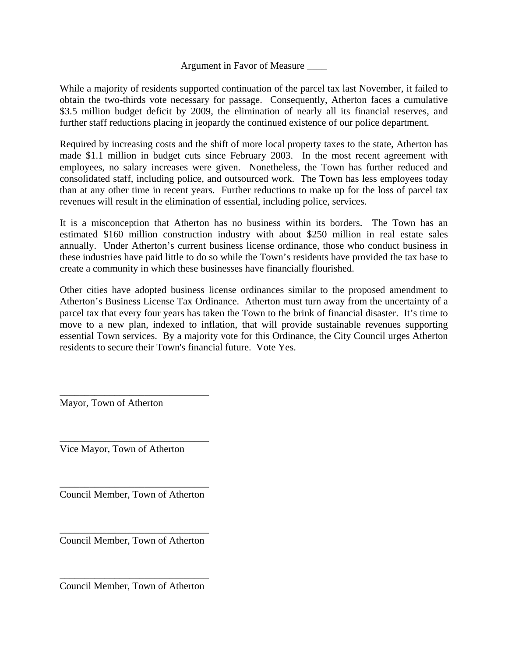### Argument in Favor of Measure \_\_\_\_

While a majority of residents supported continuation of the parcel tax last November, it failed to obtain the two-thirds vote necessary for passage. Consequently, Atherton faces a cumulative \$3.5 million budget deficit by 2009, the elimination of nearly all its financial reserves, and further staff reductions placing in jeopardy the continued existence of our police department.

Required by increasing costs and the shift of more local property taxes to the state, Atherton has made \$1.1 million in budget cuts since February 2003. In the most recent agreement with employees, no salary increases were given. Nonetheless, the Town has further reduced and consolidated staff, including police, and outsourced work. The Town has less employees today than at any other time in recent years. Further reductions to make up for the loss of parcel tax revenues will result in the elimination of essential, including police, services.

It is a misconception that Atherton has no business within its borders. The Town has an estimated \$160 million construction industry with about \$250 million in real estate sales annually. Under Atherton's current business license ordinance, those who conduct business in these industries have paid little to do so while the Town's residents have provided the tax base to create a community in which these businesses have financially flourished.

Other cities have adopted business license ordinances similar to the proposed amendment to Atherton's Business License Tax Ordinance. Atherton must turn away from the uncertainty of a parcel tax that every four years has taken the Town to the brink of financial disaster. It's time to move to a new plan, indexed to inflation, that will provide sustainable revenues supporting essential Town services. By a majority vote for this Ordinance, the City Council urges Atherton residents to secure their Town's financial future. Vote Yes.

Mayor, Town of Atherton

Vice Mayor, Town of Atherton

\_\_\_\_\_\_\_\_\_\_\_\_\_\_\_\_\_\_\_\_\_\_\_\_\_\_\_\_\_\_

\_\_\_\_\_\_\_\_\_\_\_\_\_\_\_\_\_\_\_\_\_\_\_\_\_\_\_\_\_\_

\_\_\_\_\_\_\_\_\_\_\_\_\_\_\_\_\_\_\_\_\_\_\_\_\_\_\_\_\_\_ Council Member, Town of Atherton

\_\_\_\_\_\_\_\_\_\_\_\_\_\_\_\_\_\_\_\_\_\_\_\_\_\_\_\_\_\_ Council Member, Town of Atherton

\_\_\_\_\_\_\_\_\_\_\_\_\_\_\_\_\_\_\_\_\_\_\_\_\_\_\_\_\_\_ Council Member, Town of Atherton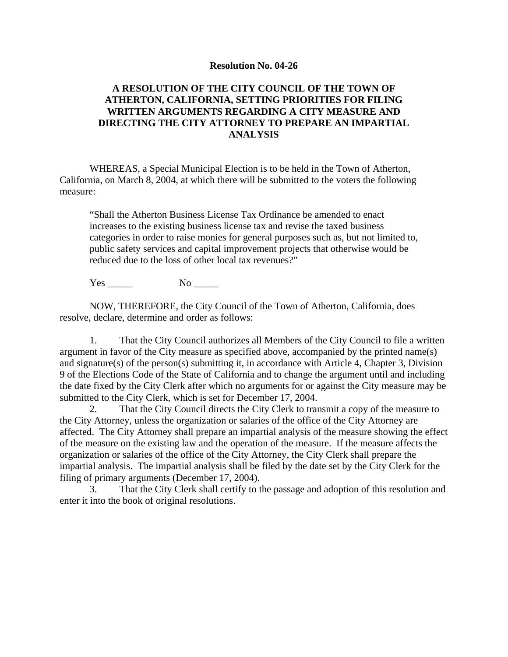#### **Resolution No. 04-26**

#### **A RESOLUTION OF THE CITY COUNCIL OF THE TOWN OF ATHERTON, CALIFORNIA, SETTING PRIORITIES FOR FILING WRITTEN ARGUMENTS REGARDING A CITY MEASURE AND DIRECTING THE CITY ATTORNEY TO PREPARE AN IMPARTIAL ANALYSIS**

WHEREAS, a Special Municipal Election is to be held in the Town of Atherton, California, on March 8, 2004, at which there will be submitted to the voters the following measure:

"Shall the Atherton Business License Tax Ordinance be amended to enact increases to the existing business license tax and revise the taxed business categories in order to raise monies for general purposes such as, but not limited to, public safety services and capital improvement projects that otherwise would be reduced due to the loss of other local tax revenues?"

Yes \_\_\_\_\_ No \_\_\_\_\_

NOW, THEREFORE, the City Council of the Town of Atherton, California, does resolve, declare, determine and order as follows:

1. That the City Council authorizes all Members of the City Council to file a written argument in favor of the City measure as specified above, accompanied by the printed name(s) and signature(s) of the person(s) submitting it, in accordance with Article 4, Chapter 3, Division 9 of the Elections Code of the State of California and to change the argument until and including the date fixed by the City Clerk after which no arguments for or against the City measure may be submitted to the City Clerk, which is set for December 17, 2004.

2. That the City Council directs the City Clerk to transmit a copy of the measure to the City Attorney, unless the organization or salaries of the office of the City Attorney are affected. The City Attorney shall prepare an impartial analysis of the measure showing the effect of the measure on the existing law and the operation of the measure. If the measure affects the organization or salaries of the office of the City Attorney, the City Clerk shall prepare the impartial analysis. The impartial analysis shall be filed by the date set by the City Clerk for the filing of primary arguments (December 17, 2004).

3. That the City Clerk shall certify to the passage and adoption of this resolution and enter it into the book of original resolutions.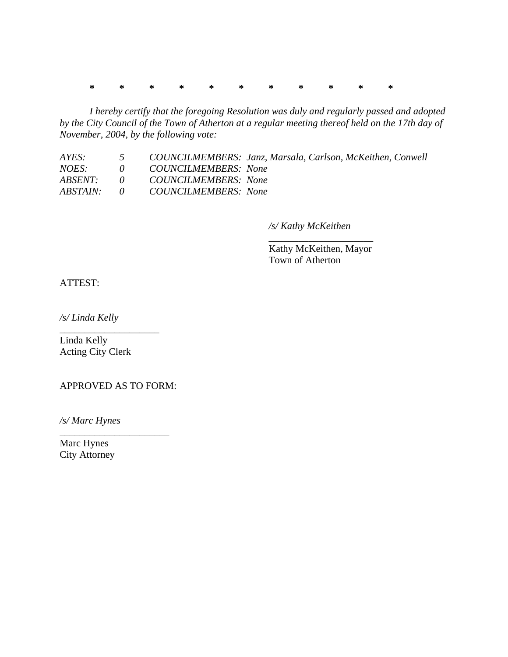**\* \* \* \* \* \* \* \* \* \* \*** 

*I hereby certify that the foregoing Resolution was duly and regularly passed and adopted by the City Council of the Town of Atherton at a regular meeting thereof held on the 17th day of November, 2004, by the following vote:* 

| AYES:    | $\overline{5}$ | COUNCILMEMBERS: Janz, Marsala, Carlson, McKeithen, Conwell |
|----------|----------------|------------------------------------------------------------|
| NOES:    |                | 0 COUNCILMEMBERS: None                                     |
| ABSENT:  |                | 0 COUNCILMEMBERS: None                                     |
| ABSTAIN: |                | 0 COUNCILMEMBERS: None                                     |

 $\overline{\phantom{a}}$  , which is a set of the set of the set of the set of the set of the set of the set of the set of the set of the set of the set of the set of the set of the set of the set of the set of the set of the set of th

*/s/ Kathy McKeithen* 

 Kathy McKeithen, Mayor Town of Atherton

ATTEST:

*/s/ Linda Kelly* 

Linda Kelly Acting City Clerk

\_\_\_\_\_\_\_\_\_\_\_\_\_\_\_\_\_\_\_\_

APPROVED AS TO FORM:

\_\_\_\_\_\_\_\_\_\_\_\_\_\_\_\_\_\_\_\_\_\_

*/s/ Marc Hynes* 

Marc Hynes City Attorney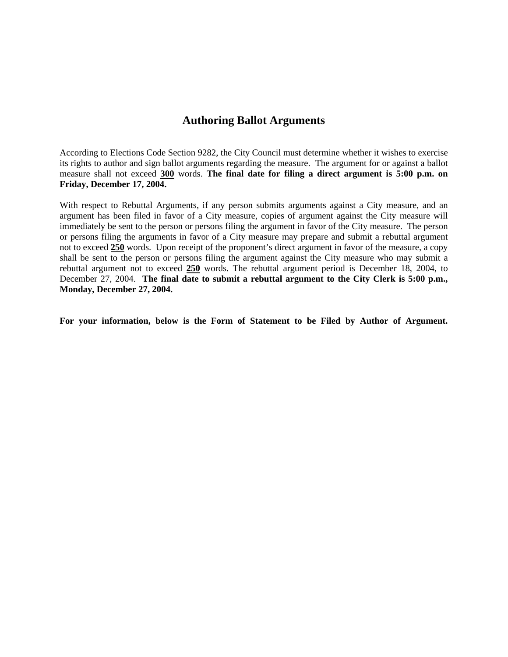# **Authoring Ballot Arguments**

According to Elections Code Section 9282, the City Council must determine whether it wishes to exercise its rights to author and sign ballot arguments regarding the measure. The argument for or against a ballot measure shall not exceed **300** words. **The final date for filing a direct argument is 5:00 p.m. on Friday, December 17, 2004.**

With respect to Rebuttal Arguments, if any person submits arguments against a City measure, and an argument has been filed in favor of a City measure, copies of argument against the City measure will immediately be sent to the person or persons filing the argument in favor of the City measure. The person or persons filing the arguments in favor of a City measure may prepare and submit a rebuttal argument not to exceed **250** words. Upon receipt of the proponent's direct argument in favor of the measure, a copy shall be sent to the person or persons filing the argument against the City measure who may submit a rebuttal argument not to exceed **250** words. The rebuttal argument period is December 18, 2004, to December 27, 2004. **The final date to submit a rebuttal argument to the City Clerk is 5:00 p.m., Monday, December 27, 2004.** 

**For your information, below is the Form of Statement to be Filed by Author of Argument.**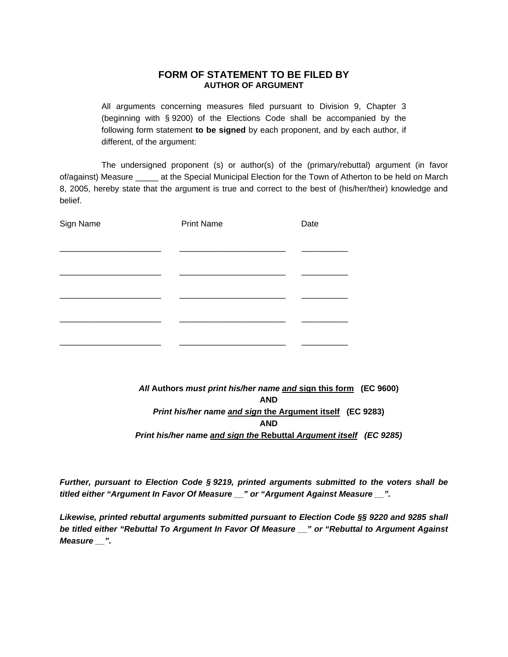#### **FORM OF STATEMENT TO BE FILED BY AUTHOR OF ARGUMENT**

All arguments concerning measures filed pursuant to Division 9, Chapter 3 (beginning with § 9200) of the Elections Code shall be accompanied by the following form statement **to be signed** by each proponent, and by each author, if different, of the argument:

The undersigned proponent (s) or author(s) of the (primary/rebuttal) argument (in favor of/against) Measure \_\_\_\_\_ at the Special Municipal Election for the Town of Atherton to be held on March 8, 2005, hereby state that the argument is true and correct to the best of (his/her/their) knowledge and belief.

| Sign Name | <b>Print Name</b> | Date |
|-----------|-------------------|------|
|           |                   |      |
|           |                   |      |
|           |                   |      |
|           |                   |      |
|           |                   |      |
|           |                   |      |

# *All* **Authors** *must print his/her name and* **sign this form (EC 9600) AND** *Print his/her name and sign* **the Argument itself (EC 9283)**  *AND Print his/her name and sign the* **Rebuttal** *Argument itself (EC 9285)*

*Further, pursuant to Election Code § 9219, printed arguments submitted to the voters shall be titled either "Argument In Favor Of Measure \_\_" or "Argument Against Measure \_\_".* 

*Likewise, printed rebuttal arguments submitted pursuant to Election Code §§ 9220 and 9285 shall be titled either "Rebuttal To Argument In Favor Of Measure \_\_" or "Rebuttal to Argument Against Measure \_\_".*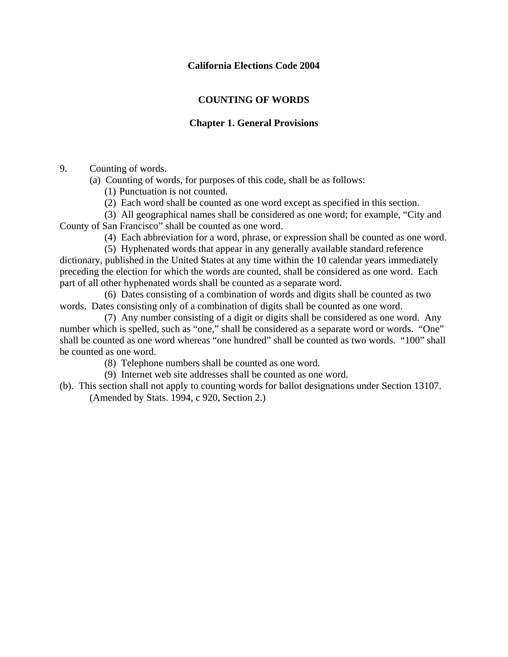### **California Elections Code 2004**

# **COUNTING OF WORDS**

# **Chapter 1. General Provisions**

9. Counting of words.

(a) Counting of words, for purposes of this code, shall be as follows:

(1) Punctuation is not counted.

(2) Each word shall be counted as one word except as specified in this section.

 (3) All geographical names shall be considered as one word; for example, "City and County of San Francisco" shall be counted as one word.

(4) Each abbreviation for a word, phrase, or expression shall be counted as one word.

 (5) Hyphenated words that appear in any generally available standard reference dictionary, published in the United States at any time within the 10 calendar years immediately preceding the election for which the words are counted, shall be considered as one word. Each part of all other hyphenated words shall be counted as a separate word.

 (6) Dates consisting of a combination of words and digits shall be counted as two words. Dates consisting only of a combination of digits shall be counted as one word.

 (7) Any number consisting of a digit or digits shall be considered as one word. Any number which is spelled, such as "one," shall be considered as a separate word or words. "One" shall be counted as one word whereas "one hundred" shall be counted as two words. "100" shall be counted as one word.

(8) Telephone numbers shall be counted as one word.

- (9) Internet web site addresses shall be counted as one word.
- (b). This section shall not apply to counting words for ballot designations under Section 13107. (Amended by Stats. 1994, c 920, Section 2.)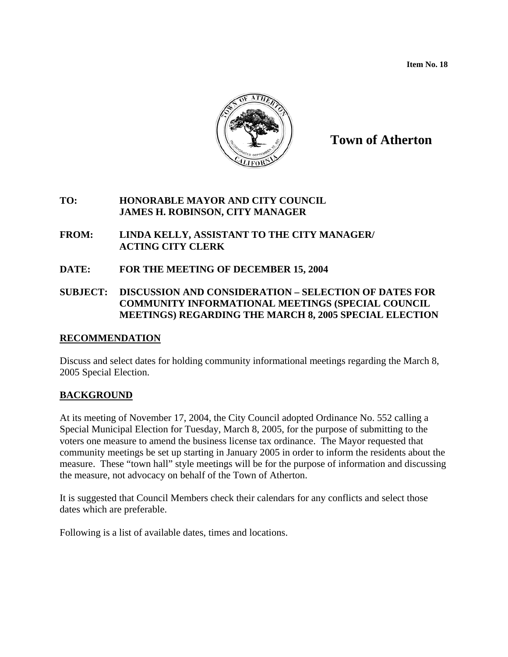**Item No. 18** 



# **Town of Atherton**

### **TO: HONORABLE MAYOR AND CITY COUNCIL JAMES H. ROBINSON, CITY MANAGER**

### **FROM: LINDA KELLY, ASSISTANT TO THE CITY MANAGER/ ACTING CITY CLERK**

**DATE: FOR THE MEETING OF DECEMBER 15, 2004** 

# **SUBJECT: DISCUSSION AND CONSIDERATION – SELECTION OF DATES FOR COMMUNITY INFORMATIONAL MEETINGS (SPECIAL COUNCIL MEETINGS) REGARDING THE MARCH 8, 2005 SPECIAL ELECTION**

# **RECOMMENDATION**

Discuss and select dates for holding community informational meetings regarding the March 8, 2005 Special Election.

# **BACKGROUND**

At its meeting of November 17, 2004, the City Council adopted Ordinance No. 552 calling a Special Municipal Election for Tuesday, March 8, 2005, for the purpose of submitting to the voters one measure to amend the business license tax ordinance. The Mayor requested that community meetings be set up starting in January 2005 in order to inform the residents about the measure. These "town hall" style meetings will be for the purpose of information and discussing the measure, not advocacy on behalf of the Town of Atherton.

It is suggested that Council Members check their calendars for any conflicts and select those dates which are preferable.

Following is a list of available dates, times and locations.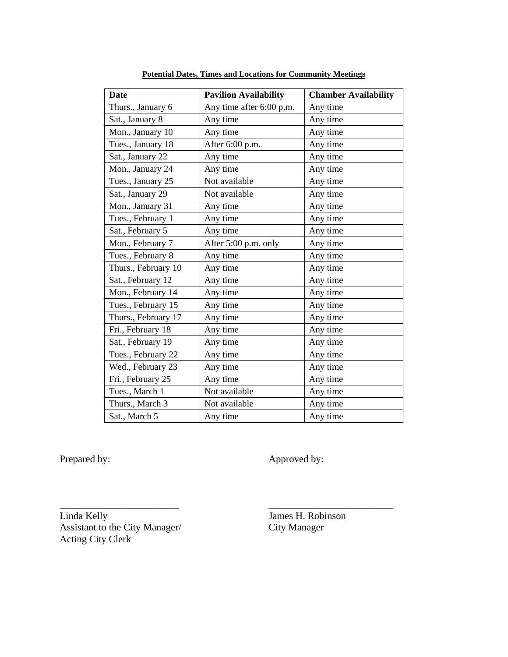| Date                | <b>Pavilion Availability</b> | <b>Chamber Availability</b> |
|---------------------|------------------------------|-----------------------------|
| Thurs., January 6   | Any time after 6:00 p.m.     | Any time                    |
| Sat., January 8     | Any time                     | Any time                    |
| Mon., January 10    | Any time                     | Any time                    |
| Tues., January 18   | After 6:00 p.m.              | Any time                    |
| Sat., January 22    | Any time                     | Any time                    |
| Mon., January 24    | Any time                     | Any time                    |
| Tues., January 25   | Not available                | Any time                    |
| Sat., January 29    | Not available                | Any time                    |
| Mon., January 31    | Any time                     | Any time                    |
| Tues., February 1   | Any time                     | Any time                    |
| Sat., February 5    | Any time                     | Any time                    |
| Mon., February 7    | After 5:00 p.m. only         | Any time                    |
| Tues., February 8   | Any time                     | Any time                    |
| Thurs., February 10 | Any time                     | Any time                    |
| Sat., February 12   | Any time                     | Any time                    |
| Mon., February 14   | Any time                     | Any time                    |
| Tues., February 15  | Any time                     | Any time                    |
| Thurs., February 17 | Any time                     | Any time                    |
| Fri., February 18   | Any time                     | Any time                    |
| Sat., February 19   | Any time                     | Any time                    |
| Tues., February 22  | Any time                     | Any time                    |
| Wed., February 23   | Any time                     | Any time                    |
| Fri., February 25   | Any time                     | Any time                    |
| Tues., March 1      | Not available                | Any time                    |
| Thurs., March 3     | Not available                | Any time                    |
| Sat., March 5       | Any time                     | Any time                    |

\_\_\_\_\_\_\_\_\_\_\_\_\_\_\_\_\_\_\_\_\_\_\_\_ \_\_\_\_\_\_\_\_\_\_\_\_\_\_\_\_\_\_\_\_\_\_\_\_\_

**Potential Dates, Times and Locations for Community Meetings**

Prepared by: Approved by:

Linda Kelly James H. Robinson Assistant to the City Manager/ City Manager Acting City Clerk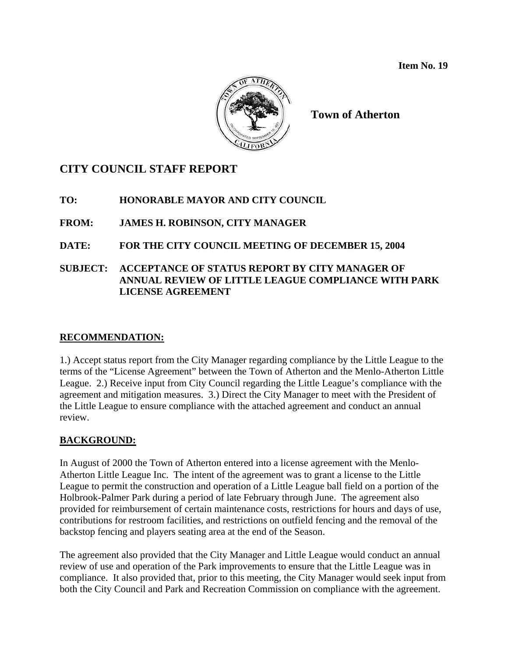

# **CITY COUNCIL STAFF REPORT**

# **TO: HONORABLE MAYOR AND CITY COUNCIL**

# **FROM: JAMES H. ROBINSON, CITY MANAGER**

# **DATE: FOR THE CITY COUNCIL MEETING OF DECEMBER 15, 2004**

# **SUBJECT: ACCEPTANCE OF STATUS REPORT BY CITY MANAGER OF ANNUAL REVIEW OF LITTLE LEAGUE COMPLIANCE WITH PARK LICENSE AGREEMENT**

# **RECOMMENDATION:**

1.) Accept status report from the City Manager regarding compliance by the Little League to the terms of the "License Agreement" between the Town of Atherton and the Menlo-Atherton Little League. 2.) Receive input from City Council regarding the Little League's compliance with the agreement and mitigation measures. 3.) Direct the City Manager to meet with the President of the Little League to ensure compliance with the attached agreement and conduct an annual review.

# **BACKGROUND:**

In August of 2000 the Town of Atherton entered into a license agreement with the Menlo-Atherton Little League Inc. The intent of the agreement was to grant a license to the Little League to permit the construction and operation of a Little League ball field on a portion of the Holbrook-Palmer Park during a period of late February through June. The agreement also provided for reimbursement of certain maintenance costs, restrictions for hours and days of use, contributions for restroom facilities, and restrictions on outfield fencing and the removal of the backstop fencing and players seating area at the end of the Season.

The agreement also provided that the City Manager and Little League would conduct an annual review of use and operation of the Park improvements to ensure that the Little League was in compliance. It also provided that, prior to this meeting, the City Manager would seek input from both the City Council and Park and Recreation Commission on compliance with the agreement.